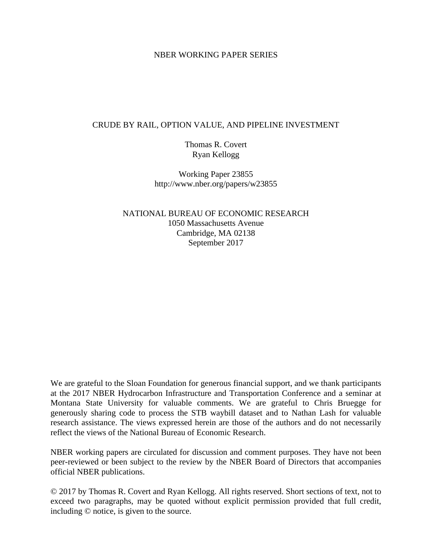### NBER WORKING PAPER SERIES

### CRUDE BY RAIL, OPTION VALUE, AND PIPELINE INVESTMENT

Thomas R. Covert Ryan Kellogg

Working Paper 23855 http://www.nber.org/papers/w23855

NATIONAL BUREAU OF ECONOMIC RESEARCH 1050 Massachusetts Avenue Cambridge, MA 02138 September 2017

We are grateful to the Sloan Foundation for generous financial support, and we thank participants at the 2017 NBER Hydrocarbon Infrastructure and Transportation Conference and a seminar at Montana State University for valuable comments. We are grateful to Chris Bruegge for generously sharing code to process the STB waybill dataset and to Nathan Lash for valuable research assistance. The views expressed herein are those of the authors and do not necessarily reflect the views of the National Bureau of Economic Research.

NBER working papers are circulated for discussion and comment purposes. They have not been peer-reviewed or been subject to the review by the NBER Board of Directors that accompanies official NBER publications.

© 2017 by Thomas R. Covert and Ryan Kellogg. All rights reserved. Short sections of text, not to exceed two paragraphs, may be quoted without explicit permission provided that full credit, including © notice, is given to the source.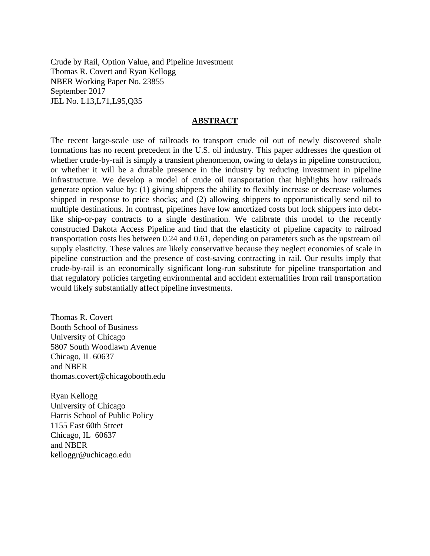Crude by Rail, Option Value, and Pipeline Investment Thomas R. Covert and Ryan Kellogg NBER Working Paper No. 23855 September 2017 JEL No. L13,L71,L95,Q35

### **ABSTRACT**

The recent large-scale use of railroads to transport crude oil out of newly discovered shale formations has no recent precedent in the U.S. oil industry. This paper addresses the question of whether crude-by-rail is simply a transient phenomenon, owing to delays in pipeline construction, or whether it will be a durable presence in the industry by reducing investment in pipeline infrastructure. We develop a model of crude oil transportation that highlights how railroads generate option value by: (1) giving shippers the ability to flexibly increase or decrease volumes shipped in response to price shocks; and (2) allowing shippers to opportunistically send oil to multiple destinations. In contrast, pipelines have low amortized costs but lock shippers into debtlike ship-or-pay contracts to a single destination. We calibrate this model to the recently constructed Dakota Access Pipeline and find that the elasticity of pipeline capacity to railroad transportation costs lies between 0.24 and 0.61, depending on parameters such as the upstream oil supply elasticity. These values are likely conservative because they neglect economies of scale in pipeline construction and the presence of cost-saving contracting in rail. Our results imply that crude-by-rail is an economically significant long-run substitute for pipeline transportation and that regulatory policies targeting environmental and accident externalities from rail transportation would likely substantially affect pipeline investments.

Thomas R. Covert Booth School of Business University of Chicago 5807 South Woodlawn Avenue Chicago, IL 60637 and NBER thomas.covert@chicagobooth.edu

Ryan Kellogg University of Chicago Harris School of Public Policy 1155 East 60th Street Chicago, IL 60637 and NBER kelloggr@uchicago.edu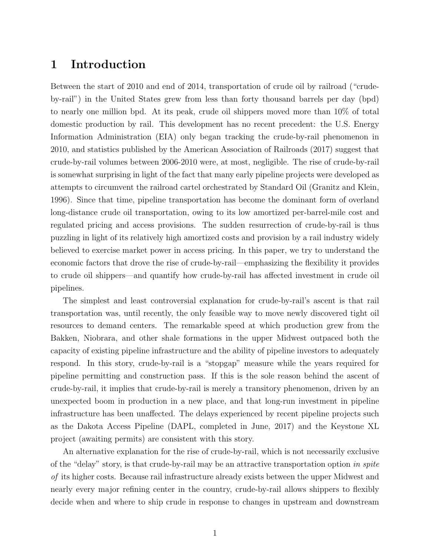## 1 Introduction

Between the start of 2010 and end of 2014, transportation of crude oil by railroad ("crudeby-rail") in the United States grew from less than forty thousand barrels per day (bpd) to nearly one million bpd. At its peak, crude oil shippers moved more than 10% of total domestic production by rail. This development has no recent precedent: the U.S. Energy Information Administration (EIA) only began tracking the crude-by-rail phenomenon in 2010, and statistics published by the American Association of Railroads (2017) suggest that crude-by-rail volumes between 2006-2010 were, at most, negligible. The rise of crude-by-rail is somewhat surprising in light of the fact that many early pipeline projects were developed as attempts to circumvent the railroad cartel orchestrated by Standard Oil (Granitz and Klein, 1996). Since that time, pipeline transportation has become the dominant form of overland long-distance crude oil transportation, owing to its low amortized per-barrel-mile cost and regulated pricing and access provisions. The sudden resurrection of crude-by-rail is thus puzzling in light of its relatively high amortized costs and provision by a rail industry widely believed to exercise market power in access pricing. In this paper, we try to understand the economic factors that drove the rise of crude-by-rail—emphasizing the flexibility it provides to crude oil shippers—and quantify how crude-by-rail has affected investment in crude oil pipelines.

The simplest and least controversial explanation for crude-by-rail's ascent is that rail transportation was, until recently, the only feasible way to move newly discovered tight oil resources to demand centers. The remarkable speed at which production grew from the Bakken, Niobrara, and other shale formations in the upper Midwest outpaced both the capacity of existing pipeline infrastructure and the ability of pipeline investors to adequately respond. In this story, crude-by-rail is a "stopgap" measure while the years required for pipeline permitting and construction pass. If this is the sole reason behind the ascent of crude-by-rail, it implies that crude-by-rail is merely a transitory phenomenon, driven by an unexpected boom in production in a new place, and that long-run investment in pipeline infrastructure has been unaffected. The delays experienced by recent pipeline projects such as the Dakota Access Pipeline (DAPL, completed in June, 2017) and the Keystone XL project (awaiting permits) are consistent with this story.

An alternative explanation for the rise of crude-by-rail, which is not necessarily exclusive of the "delay" story, is that crude-by-rail may be an attractive transportation option in spite of its higher costs. Because rail infrastructure already exists between the upper Midwest and nearly every major refining center in the country, crude-by-rail allows shippers to flexibly decide when and where to ship crude in response to changes in upstream and downstream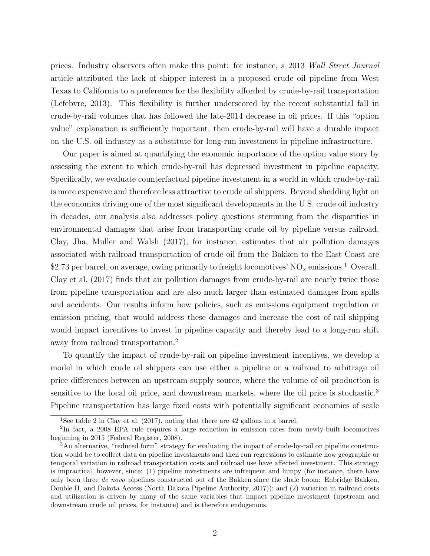prices. Industry observers often make this point: for instance, a 2013 Wall Street Journal article attributed the lack of shipper interest in a proposed crude oil pipeline from West Texas to California to a preference for the flexibility afforded by crude-by-rail transportation (Lefebvre, 2013). This flexibility is further underscored by the recent substantial fall in crude-by-rail volumes that has followed the late-2014 decrease in oil prices. If this "option value" explanation is sufficiently important, then crude-by-rail will have a durable impact on the U.S. oil industry as a substitute for long-run investment in pipeline infrastructure.

Our paper is aimed at quantifying the economic importance of the option value story by assessing the extent to which crude-by-rail has depressed investment in pipeline capacity. Specifically, we evaluate counterfactual pipeline investment in a world in which crude-by-rail is more expensive and therefore less attractive to crude oil shippers. Beyond shedding light on the economics driving one of the most significant developments in the U.S. crude oil industry in decades, our analysis also addresses policy questions stemming from the disparities in environmental damages that arise from transporting crude oil by pipeline versus railroad. Clay, Jha, Muller and Walsh (2017), for instance, estimates that air pollution damages associated with railroad transportation of crude oil from the Bakken to the East Coast are \$2.73 per barrel, on average, owing primarily to freight locomotives'  $NO<sub>x</sub>$  emissions.<sup>1</sup> Overall, Clay et al. (2017) finds that air pollution damages from crude-by-rail are nearly twice those from pipeline transportation and are also much larger than estimated damages from spills and accidents. Our results inform how policies, such as emissions equipment regulation or emission pricing, that would address these damages and increase the cost of rail shipping would impact incentives to invest in pipeline capacity and thereby lead to a long-run shift away from railroad transportation.<sup>2</sup>

To quantify the impact of crude-by-rail on pipeline investment incentives, we develop a model in which crude oil shippers can use either a pipeline or a railroad to arbitrage oil price differences between an upstream supply source, where the volume of oil production is sensitive to the local oil price, and downstream markets, where the oil price is stochastic.<sup>3</sup> Pipeline transportation has large fixed costs with potentially significant economies of scale

<sup>&</sup>lt;sup>1</sup>See table 2 in Clay et al.  $(2017)$ , noting that there are 42 gallons in a barrel.

<sup>&</sup>lt;sup>2</sup>In fact, a 2008 EPA rule requires a large reduction in emission rates from newly-built locomotives beginning in 2015 (Federal Register, 2008).

<sup>3</sup>An alternative, "reduced form" strategy for evaluating the impact of crude-by-rail on pipeline construction would be to collect data on pipeline investments and then run regressions to estimate how geographic or temporal variation in railroad transportation costs and railroad use have affected investment. This strategy is impractical, however, since: (1) pipeline investments are infrequent and lumpy (for instance, there have only been three de novo pipelines constructed out of the Bakken since the shale boom: Enbridge Bakken, Double H, and Dakota Access (North Dakota Pipeline Authority, 2017)); and (2) variation in railroad costs and utilization is driven by many of the same variables that impact pipeline investment (upstream and downstream crude oil prices, for instance) and is therefore endogenous.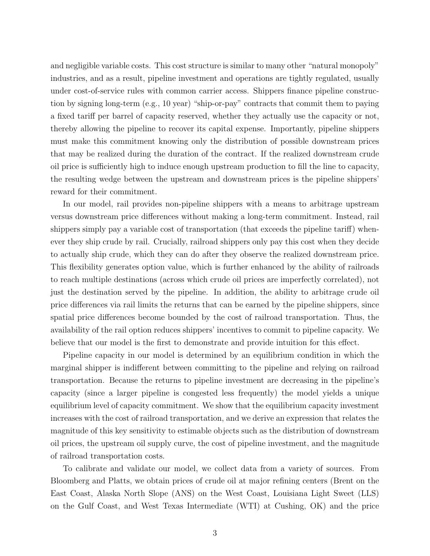and negligible variable costs. This cost structure is similar to many other "natural monopoly" industries, and as a result, pipeline investment and operations are tightly regulated, usually under cost-of-service rules with common carrier access. Shippers finance pipeline construction by signing long-term (e.g., 10 year) "ship-or-pay" contracts that commit them to paying a fixed tariff per barrel of capacity reserved, whether they actually use the capacity or not, thereby allowing the pipeline to recover its capital expense. Importantly, pipeline shippers must make this commitment knowing only the distribution of possible downstream prices that may be realized during the duration of the contract. If the realized downstream crude oil price is sufficiently high to induce enough upstream production to fill the line to capacity, the resulting wedge between the upstream and downstream prices is the pipeline shippers' reward for their commitment.

In our model, rail provides non-pipeline shippers with a means to arbitrage upstream versus downstream price differences without making a long-term commitment. Instead, rail shippers simply pay a variable cost of transportation (that exceeds the pipeline tariff) whenever they ship crude by rail. Crucially, railroad shippers only pay this cost when they decide to actually ship crude, which they can do after they observe the realized downstream price. This flexibility generates option value, which is further enhanced by the ability of railroads to reach multiple destinations (across which crude oil prices are imperfectly correlated), not just the destination served by the pipeline. In addition, the ability to arbitrage crude oil price differences via rail limits the returns that can be earned by the pipeline shippers, since spatial price differences become bounded by the cost of railroad transportation. Thus, the availability of the rail option reduces shippers' incentives to commit to pipeline capacity. We believe that our model is the first to demonstrate and provide intuition for this effect.

Pipeline capacity in our model is determined by an equilibrium condition in which the marginal shipper is indifferent between committing to the pipeline and relying on railroad transportation. Because the returns to pipeline investment are decreasing in the pipeline's capacity (since a larger pipeline is congested less frequently) the model yields a unique equilibrium level of capacity commitment. We show that the equilibrium capacity investment increases with the cost of railroad transportation, and we derive an expression that relates the magnitude of this key sensitivity to estimable objects such as the distribution of downstream oil prices, the upstream oil supply curve, the cost of pipeline investment, and the magnitude of railroad transportation costs.

To calibrate and validate our model, we collect data from a variety of sources. From Bloomberg and Platts, we obtain prices of crude oil at major refining centers (Brent on the East Coast, Alaska North Slope (ANS) on the West Coast, Louisiana Light Sweet (LLS) on the Gulf Coast, and West Texas Intermediate (WTI) at Cushing, OK) and the price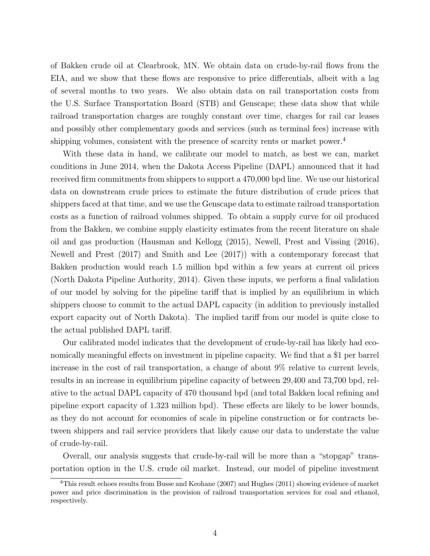of Bakken crude oil at Clearbrook, MN. We obtain data on crude-by-rail flows from the EIA, and we show that these flows are responsive to price differentials, albeit with a lag of several months to two years. We also obtain data on rail transportation costs from the U.S. Surface Transportation Board (STB) and Genscape; these data show that while railroad transportation charges are roughly constant over time, charges for rail car leases and possibly other complementary goods and services (such as terminal fees) increase with shipping volumes, consistent with the presence of scarcity rents or market power.<sup>4</sup>

With these data in hand, we calibrate our model to match, as best we can, market conditions in June 2014, when the Dakota Access Pipeline (DAPL) announced that it had received firm commitments from shippers to support a 470,000 bpd line. We use our historical data on downstream crude prices to estimate the future distribution of crude prices that shippers faced at that time, and we use the Genscape data to estimate railroad transportation costs as a function of railroad volumes shipped. To obtain a supply curve for oil produced from the Bakken, we combine supply elasticity estimates from the recent literature on shale oil and gas production (Hausman and Kellogg (2015), Newell, Prest and Vissing (2016), Newell and Prest (2017) and Smith and Lee (2017)) with a contemporary forecast that Bakken production would reach 1.5 million bpd within a few years at current oil prices (North Dakota Pipeline Authority, 2014). Given these inputs, we perform a final validation of our model by solving for the pipeline tariff that is implied by an equilibrium in which shippers choose to commit to the actual DAPL capacity (in addition to previously installed export capacity out of North Dakota). The implied tariff from our model is quite close to the actual published DAPL tariff.

Our calibrated model indicates that the development of crude-by-rail has likely had economically meaningful effects on investment in pipeline capacity. We find that a \$1 per barrel increase in the cost of rail transportation, a change of about 9% relative to current levels, results in an increase in equilibrium pipeline capacity of between 29,400 and 73,700 bpd, relative to the actual DAPL capacity of 470 thousand bpd (and total Bakken local refining and pipeline export capacity of 1.323 million bpd). These effects are likely to be lower bounds, as they do not account for economies of scale in pipeline construction or for contracts between shippers and rail service providers that likely cause our data to understate the value of crude-by-rail.

Overall, our analysis suggests that crude-by-rail will be more than a "stopgap" transportation option in the U.S. crude oil market. Instead, our model of pipeline investment

<sup>&</sup>lt;sup>4</sup>This result echoes results from Busse and Keohane (2007) and Hughes (2011) showing evidence of market power and price discrimination in the provision of railroad transportation services for coal and ethanol, respectively.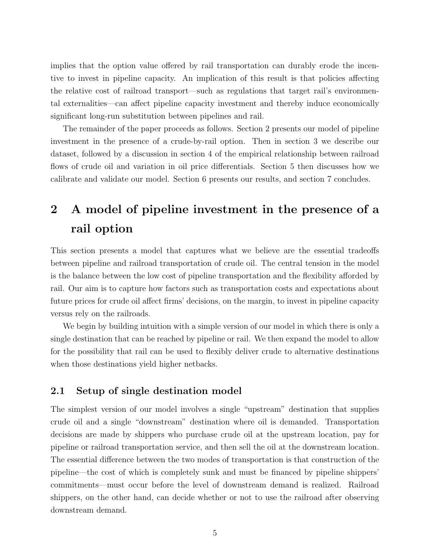implies that the option value offered by rail transportation can durably erode the incentive to invest in pipeline capacity. An implication of this result is that policies affecting the relative cost of railroad transport—such as regulations that target rail's environmental externalities—can affect pipeline capacity investment and thereby induce economically significant long-run substitution between pipelines and rail.

The remainder of the paper proceeds as follows. Section 2 presents our model of pipeline investment in the presence of a crude-by-rail option. Then in section 3 we describe our dataset, followed by a discussion in section 4 of the empirical relationship between railroad flows of crude oil and variation in oil price differentials. Section 5 then discusses how we calibrate and validate our model. Section 6 presents our results, and section 7 concludes.

# 2 A model of pipeline investment in the presence of a rail option

This section presents a model that captures what we believe are the essential tradeoffs between pipeline and railroad transportation of crude oil. The central tension in the model is the balance between the low cost of pipeline transportation and the flexibility afforded by rail. Our aim is to capture how factors such as transportation costs and expectations about future prices for crude oil affect firms' decisions, on the margin, to invest in pipeline capacity versus rely on the railroads.

We begin by building intuition with a simple version of our model in which there is only a single destination that can be reached by pipeline or rail. We then expand the model to allow for the possibility that rail can be used to flexibly deliver crude to alternative destinations when those destinations yield higher netbacks.

### 2.1 Setup of single destination model

The simplest version of our model involves a single "upstream" destination that supplies crude oil and a single "downstream" destination where oil is demanded. Transportation decisions are made by shippers who purchase crude oil at the upstream location, pay for pipeline or railroad transportation service, and then sell the oil at the downstream location. The essential difference between the two modes of transportation is that construction of the pipeline—the cost of which is completely sunk and must be financed by pipeline shippers' commitments—must occur before the level of downstream demand is realized. Railroad shippers, on the other hand, can decide whether or not to use the railroad after observing downstream demand.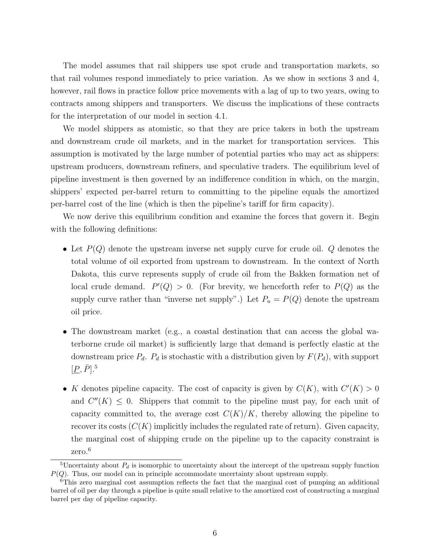The model assumes that rail shippers use spot crude and transportation markets, so that rail volumes respond immediately to price variation. As we show in sections 3 and 4, however, rail flows in practice follow price movements with a lag of up to two years, owing to contracts among shippers and transporters. We discuss the implications of these contracts for the interpretation of our model in section 4.1.

We model shippers as atomistic, so that they are price takers in both the upstream and downstream crude oil markets, and in the market for transportation services. This assumption is motivated by the large number of potential parties who may act as shippers: upstream producers, downstream refiners, and speculative traders. The equilibrium level of pipeline investment is then governed by an indifference condition in which, on the margin, shippers' expected per-barrel return to committing to the pipeline equals the amortized per-barrel cost of the line (which is then the pipeline's tariff for firm capacity).

We now derive this equilibrium condition and examine the forces that govern it. Begin with the following definitions:

- Let  $P(Q)$  denote the upstream inverse net supply curve for crude oil.  $Q$  denotes the total volume of oil exported from upstream to downstream. In the context of North Dakota, this curve represents supply of crude oil from the Bakken formation net of local crude demand.  $P'(Q) > 0$ . (For brevity, we henceforth refer to  $P(Q)$  as the supply curve rather than "inverse net supply".) Let  $P_u = P(Q)$  denote the upstream oil price.
- The downstream market (e.g., a coastal destination that can access the global waterborne crude oil market) is sufficiently large that demand is perfectly elastic at the downstream price  $P_d$ .  $P_d$  is stochastic with a distribution given by  $F(P_d)$ , with support  $[\underline{P}, \bar{P}]$ <sup>5</sup>.
- K denotes pipeline capacity. The cost of capacity is given by  $C(K)$ , with  $C'(K) > 0$ and  $C''(K) \leq 0$ . Shippers that commit to the pipeline must pay, for each unit of capacity committed to, the average cost  $C(K)/K$ , thereby allowing the pipeline to recover its costs  $(C(K)$  implicitly includes the regulated rate of return). Given capacity, the marginal cost of shipping crude on the pipeline up to the capacity constraint is zero.<sup>6</sup>

<sup>&</sup>lt;sup>5</sup>Uncertainty about  $P_d$  is isomorphic to uncertainty about the intercept of the upstream supply function  $P(Q)$ . Thus, our model can in principle accommodate uncertainty about upstream supply.

 $6$ This zero marginal cost assumption reflects the fact that the marginal cost of pumping an additional barrel of oil per day through a pipeline is quite small relative to the amortized cost of constructing a marginal barrel per day of pipeline capacity.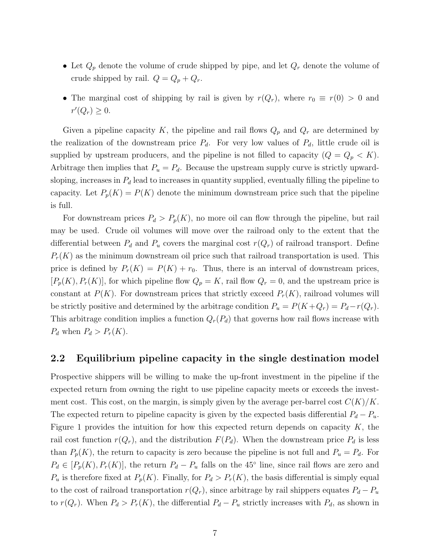- Let  $Q_p$  denote the volume of crude shipped by pipe, and let  $Q_r$  denote the volume of crude shipped by rail.  $Q = Q_p + Q_r$ .
- The marginal cost of shipping by rail is given by  $r(Q_r)$ , where  $r_0 \equiv r(0) > 0$  and  $r'(Q_r) \geq 0.$

Given a pipeline capacity K, the pipeline and rail flows  $Q_p$  and  $Q_r$  are determined by the realization of the downstream price  $P_d$ . For very low values of  $P_d$ , little crude oil is supplied by upstream producers, and the pipeline is not filled to capacity  $(Q = Q_p < K)$ . Arbitrage then implies that  $P_u = P_d$ . Because the upstream supply curve is strictly upwardsloping, increases in  $P_d$  lead to increases in quantity supplied, eventually filling the pipeline to capacity. Let  $P_p(K) = P(K)$  denote the minimum downstream price such that the pipeline is full.

For downstream prices  $P_d > P_p(K)$ , no more oil can flow through the pipeline, but rail may be used. Crude oil volumes will move over the railroad only to the extent that the differential between  $P_d$  and  $P_u$  covers the marginal cost  $r(Q_r)$  of railroad transport. Define  $P_r(K)$  as the minimum downstream oil price such that railroad transportation is used. This price is defined by  $P_r(K) = P(K) + r_0$ . Thus, there is an interval of downstream prices,  $[P_p(K), P_r(K)]$ , for which pipeline flow  $Q_p = K$ , rail flow  $Q_r = 0$ , and the upstream price is constant at  $P(K)$ . For downstream prices that strictly exceed  $P_r(K)$ , railroad volumes will be strictly positive and determined by the arbitrage condition  $P_u = P(K+Q_r) = P_d-r(Q_r)$ . This arbitrage condition implies a function  $Q_r(P_d)$  that governs how rail flows increase with  $P_d$  when  $P_d > P_r(K)$ .

### 2.2 Equilibrium pipeline capacity in the single destination model

Prospective shippers will be willing to make the up-front investment in the pipeline if the expected return from owning the right to use pipeline capacity meets or exceeds the investment cost. This cost, on the margin, is simply given by the average per-barrel cost  $C(K)/K$ . The expected return to pipeline capacity is given by the expected basis differential  $P_d - P_u$ . Figure 1 provides the intuition for how this expected return depends on capacity  $K$ , the rail cost function  $r(Q_r)$ , and the distribution  $F(P_d)$ . When the downstream price  $P_d$  is less than  $P_p(K)$ , the return to capacity is zero because the pipeline is not full and  $P_u = P_d$ . For  $P_d \in [P_p(K), P_r(K)]$ , the return  $P_d - P_u$  falls on the 45<sup>°</sup> line, since rail flows are zero and  $P_u$  is therefore fixed at  $P_p(K)$ . Finally, for  $P_d > P_r(K)$ , the basis differential is simply equal to the cost of railroad transportation  $r(Q_r)$ , since arbitrage by rail shippers equates  $P_d - P_u$ to  $r(Q_r)$ . When  $P_d > P_r(K)$ , the differential  $P_d - P_u$  strictly increases with  $P_d$ , as shown in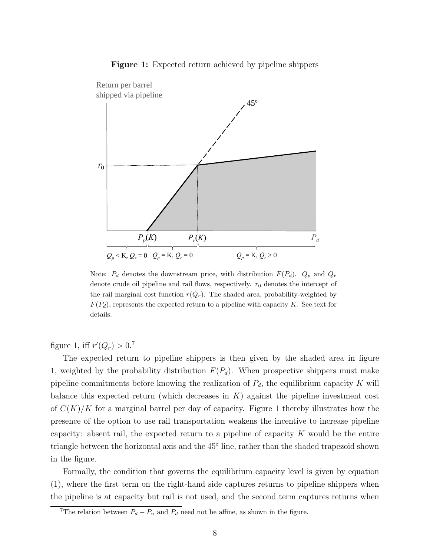Figure 1: Expected return achieved by pipeline shippers



Note:  $P_d$  denotes the downstream price, with distribution  $F(P_d)$ .  $Q_p$  and  $Q_r$ denote crude oil pipeline and rail flows, respectively.  $r_0$  denotes the intercept of the rail marginal cost function  $r(Q_r)$ . The shaded area, probability-weighted by  $F(P_d)$ , represents the expected return to a pipeline with capacity K. See text for details.

figure 1, iff  $r'(Q_r) > 0.7$ 

The expected return to pipeline shippers is then given by the shaded area in figure 1, weighted by the probability distribution  $F(P_d)$ . When prospective shippers must make pipeline commitments before knowing the realization of  $P_d$ , the equilibrium capacity K will balance this expected return (which decreases in  $K$ ) against the pipeline investment cost of  $C(K)/K$  for a marginal barrel per day of capacity. Figure 1 thereby illustrates how the presence of the option to use rail transportation weakens the incentive to increase pipeline capacity: absent rail, the expected return to a pipeline of capacity  $K$  would be the entire triangle between the horizontal axis and the 45◦ line, rather than the shaded trapezoid shown in the figure.

Formally, the condition that governs the equilibrium capacity level is given by equation (1), where the first term on the right-hand side captures returns to pipeline shippers when the pipeline is at capacity but rail is not used, and the second term captures returns when

<sup>&</sup>lt;sup>7</sup>The relation between  $P_d - P_u$  and  $P_d$  need not be affine, as shown in the figure.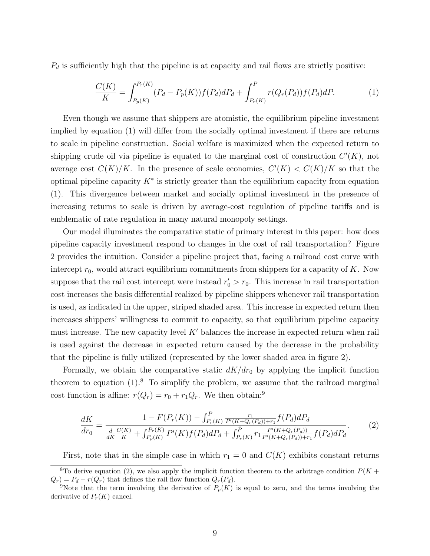$P_d$  is sufficiently high that the pipeline is at capacity and rail flows are strictly positive:

$$
\frac{C(K)}{K} = \int_{P_p(K)}^{P_r(K)} (P_d - P_p(K)) f(P_d) dP_d + \int_{P_r(K)}^{\bar{P}} r(Q_r(P_d)) f(P_d) dP.
$$
 (1)

Even though we assume that shippers are atomistic, the equilibrium pipeline investment implied by equation (1) will differ from the socially optimal investment if there are returns to scale in pipeline construction. Social welfare is maximized when the expected return to shipping crude oil via pipeline is equated to the marginal cost of construction  $C'(K)$ , not average cost  $C(K)/K$ . In the presence of scale economies,  $C'(K) < C(K)/K$  so that the optimal pipeline capacity  $K^*$  is strictly greater than the equilibrium capacity from equation (1). This divergence between market and socially optimal investment in the presence of increasing returns to scale is driven by average-cost regulation of pipeline tariffs and is emblematic of rate regulation in many natural monopoly settings.

Our model illuminates the comparative static of primary interest in this paper: how does pipeline capacity investment respond to changes in the cost of rail transportation? Figure 2 provides the intuition. Consider a pipeline project that, facing a railroad cost curve with intercept  $r_0$ , would attract equilibrium commitments from shippers for a capacity of K. Now suppose that the rail cost intercept were instead  $r'_0 > r_0$ . This increase in rail transportation cost increases the basis differential realized by pipeline shippers whenever rail transportation is used, as indicated in the upper, striped shaded area. This increase in expected return then increases shippers' willingness to commit to capacity, so that equilibrium pipeline capacity must increase. The new capacity level  $K'$  balances the increase in expected return when rail is used against the decrease in expected return caused by the decrease in the probability that the pipeline is fully utilized (represented by the lower shaded area in figure 2).

Formally, we obtain the comparative static  $dK/dr_0$  by applying the implicit function theorem to equation  $(1)$ .<sup>8</sup> To simplify the problem, we assume that the railroad marginal cost function is affine:  $r(Q_r) = r_0 + r_1 Q_r$ . We then obtain:<sup>9</sup>

$$
\frac{dK}{dr_0} = \frac{1 - F(P_r(K)) - \int_{P_r(K)}^{\bar{P}} \frac{r_1}{P'(K+Q_r(P_d))+r_1} f(P_d) dP_d}{\frac{d}{dK} \frac{C(K)}{K} + \int_{P_p(K)}^{P_r(K)} P'(K) f(P_d) dP_d + \int_{P_r(K)}^{\bar{P}} \frac{P'(K+Q_r(P_d))}{P'(K+Q_r(P_d))+r_1} f(P_d) dP_d}.
$$
\n(2)

First, note that in the simple case in which  $r_1 = 0$  and  $C(K)$  exhibits constant returns

<sup>&</sup>lt;sup>8</sup>To derive equation (2), we also apply the implicit function theorem to the arbitrage condition  $P(K +$  $Q_r$  =  $P_d - r(Q_r)$  that defines the rail flow function  $Q_r(P_d)$ .

<sup>&</sup>lt;sup>9</sup>Note that the term involving the derivative of  $P_p(K)$  is equal to zero, and the terms involving the derivative of  $P_r(K)$  cancel.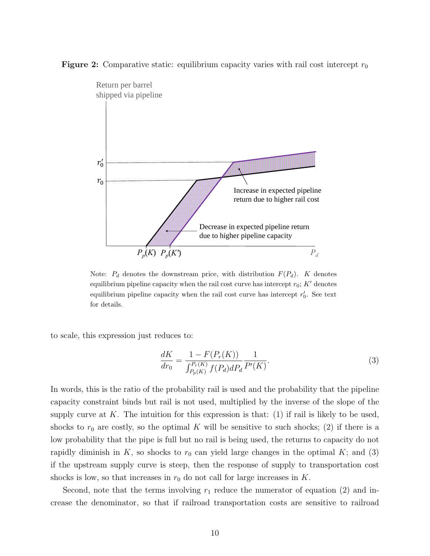**Figure 2:** Comparative static: equilibrium capacity varies with rail cost intercept  $r_0$ 



Note:  $P_d$  denotes the downstream price, with distribution  $F(P_d)$ . K denotes equilibrium pipeline capacity when the rail cost curve has intercept  $r_0$ ;  $K'$  denotes equilibrium pipeline capacity when the rail cost curve has intercept  $r'_0$ . See text for details.

to scale, this expression just reduces to:

$$
\frac{dK}{dr_0} = \frac{1 - F(P_r(K))}{\int_{P_p(K)}^{P_r(K)} f(P_d) dP_d} \frac{1}{P'(K)}.
$$
\n(3)

In words, this is the ratio of the probability rail is used and the probability that the pipeline capacity constraint binds but rail is not used, multiplied by the inverse of the slope of the supply curve at K. The intuition for this expression is that:  $(1)$  if rail is likely to be used, shocks to  $r_0$  are costly, so the optimal K will be sensitive to such shocks; (2) if there is a low probability that the pipe is full but no rail is being used, the returns to capacity do not rapidly diminish in K, so shocks to  $r_0$  can yield large changes in the optimal K; and (3) if the upstream supply curve is steep, then the response of supply to transportation cost shocks is low, so that increases in  $r_0$  do not call for large increases in K.

Second, note that the terms involving  $r_1$  reduce the numerator of equation (2) and increase the denominator, so that if railroad transportation costs are sensitive to railroad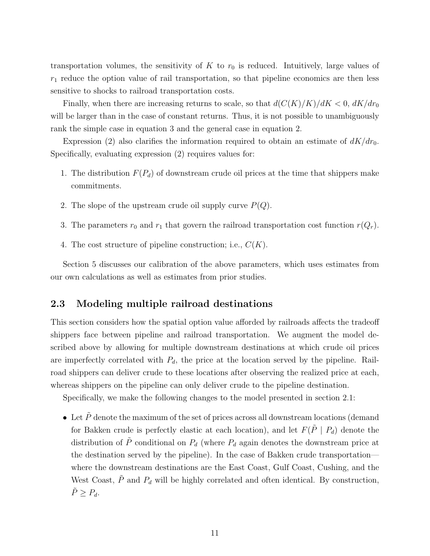transportation volumes, the sensitivity of K to  $r_0$  is reduced. Intuitively, large values of  $r_1$  reduce the option value of rail transportation, so that pipeline economics are then less sensitive to shocks to railroad transportation costs.

Finally, when there are increasing returns to scale, so that  $d(C(K)/K)/dK < 0$ ,  $dK/dr_0$ will be larger than in the case of constant returns. Thus, it is not possible to unambiguously rank the simple case in equation 3 and the general case in equation 2.

Expression (2) also clarifies the information required to obtain an estimate of  $dK/dr_0$ . Specifically, evaluating expression (2) requires values for:

- 1. The distribution  $F(P_d)$  of downstream crude oil prices at the time that shippers make commitments.
- 2. The slope of the upstream crude oil supply curve  $P(Q)$ .
- 3. The parameters  $r_0$  and  $r_1$  that govern the railroad transportation cost function  $r(Q_r)$ .
- 4. The cost structure of pipeline construction; i.e.,  $C(K)$ .

Section 5 discusses our calibration of the above parameters, which uses estimates from our own calculations as well as estimates from prior studies.

### 2.3 Modeling multiple railroad destinations

This section considers how the spatial option value afforded by railroads affects the tradeoff shippers face between pipeline and railroad transportation. We augment the model described above by allowing for multiple downstream destinations at which crude oil prices are imperfectly correlated with  $P_d$ , the price at the location served by the pipeline. Railroad shippers can deliver crude to these locations after observing the realized price at each, whereas shippers on the pipeline can only deliver crude to the pipeline destination.

Specifically, we make the following changes to the model presented in section 2.1:

• Let  $\tilde{P}$  denote the maximum of the set of prices across all downstream locations (demand for Bakken crude is perfectly elastic at each location), and let  $F(\tilde{P} | P_d)$  denote the distribution of  $\tilde{P}$  conditional on  $P_d$  (where  $P_d$  again denotes the downstream price at the destination served by the pipeline). In the case of Bakken crude transportation where the downstream destinations are the East Coast, Gulf Coast, Cushing, and the West Coast,  $\tilde{P}$  and  $P_d$  will be highly correlated and often identical. By construction,  $\tilde{P} \geq P_d$ .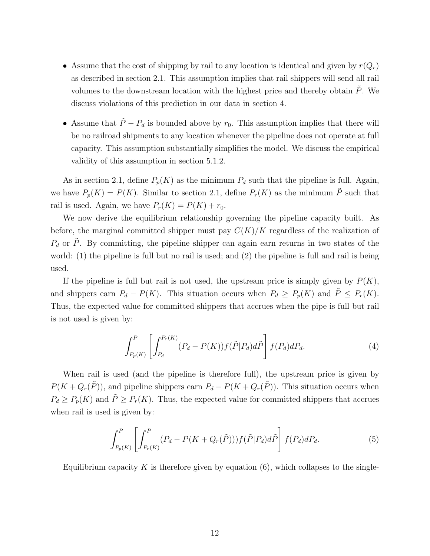- Assume that the cost of shipping by rail to any location is identical and given by  $r(Q_r)$ as described in section 2.1. This assumption implies that rail shippers will send all rail volumes to the downstream location with the highest price and thereby obtain  $\ddot{P}$ . We discuss violations of this prediction in our data in section 4.
- Assume that  $\tilde{P} P_d$  is bounded above by  $r_0$ . This assumption implies that there will be no railroad shipments to any location whenever the pipeline does not operate at full capacity. This assumption substantially simplifies the model. We discuss the empirical validity of this assumption in section 5.1.2.

As in section 2.1, define  $P_p(K)$  as the minimum  $P_d$  such that the pipeline is full. Again, we have  $P_p(K) = P(K)$ . Similar to section 2.1, define  $P_r(K)$  as the minimum  $\tilde{P}$  such that rail is used. Again, we have  $P_r(K) = P(K) + r_0$ .

We now derive the equilibrium relationship governing the pipeline capacity built. As before, the marginal committed shipper must pay  $C(K)/K$  regardless of the realization of  $P_d$  or  $\tilde{P}$ . By committing, the pipeline shipper can again earn returns in two states of the world: (1) the pipeline is full but no rail is used; and (2) the pipeline is full and rail is being used.

If the pipeline is full but rail is not used, the upstream price is simply given by  $P(K)$ , and shippers earn  $P_d - P(K)$ . This situation occurs when  $P_d \ge P_p(K)$  and  $\tilde{P} \le P_r(K)$ . Thus, the expected value for committed shippers that accrues when the pipe is full but rail is not used is given by:

$$
\int_{P_p(K)}^{\bar{P}} \left[ \int_{P_d}^{P_r(K)} (P_d - P(K)) f(\tilde{P}|P_d) d\tilde{P} \right] f(P_d) dP_d.
$$
\n(4)

When rail is used (and the pipeline is therefore full), the upstream price is given by  $P(K + Q_r(\tilde{P}))$ , and pipeline shippers earn  $P_d - P(K + Q_r(\tilde{P}))$ . This situation occurs when  $P_d \ge P_p(K)$  and  $\tilde{P} \ge P_r(K)$ . Thus, the expected value for committed shippers that accrues when rail is used is given by:

$$
\int_{P_p(K)}^{\bar{P}} \left[ \int_{P_r(K)}^{\bar{P}} (P_d - P(K + Q_r(\tilde{P}))) f(\tilde{P} | P_d) d\tilde{P} \right] f(P_d) dP_d.
$$
\n(5)

Equilibrium capacity K is therefore given by equation  $(6)$ , which collapses to the single-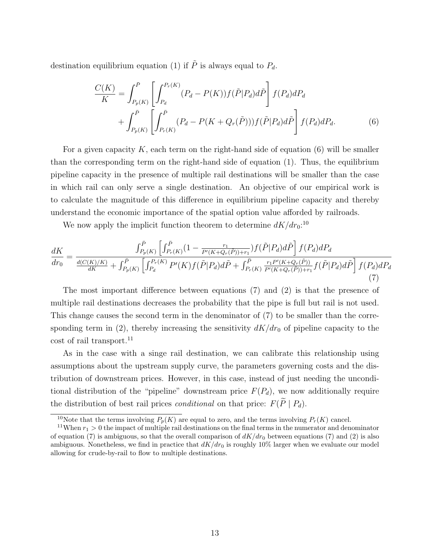destination equilibrium equation (1) if  $\tilde{P}$  is always equal to  $P_d$ .

$$
\frac{C(K)}{K} = \int_{P_p(K)}^{\bar{P}} \left[ \int_{P_d}^{P_r(K)} (P_d - P(K)) f(\tilde{P}|P_d) d\tilde{P} \right] f(P_d) dP_d \n+ \int_{P_p(K)}^{\bar{P}} \left[ \int_{P_r(K)}^{\bar{P}} (P_d - P(K + Q_r(\tilde{P}))) f(\tilde{P}|P_d) d\tilde{P} \right] f(P_d) dP_d.
$$
\n(6)

For a given capacity K, each term on the right-hand side of equation  $(6)$  will be smaller than the corresponding term on the right-hand side of equation (1). Thus, the equilibrium pipeline capacity in the presence of multiple rail destinations will be smaller than the case in which rail can only serve a single destination. An objective of our empirical work is to calculate the magnitude of this difference in equilibrium pipeline capacity and thereby understand the economic importance of the spatial option value afforded by railroads.

We now apply the implicit function theorem to determine  $dK/dr_0$ :<sup>10</sup>

$$
\frac{dK}{dr_0} = \frac{\int_{P_p(K)}^{\bar{P}} \left[ \int_{P_r(K)}^{\bar{P}} (1 - \frac{r_1}{P'(K+Q_r(\tilde{P})) + r_1}) f(\tilde{P}|P_d) d\tilde{P} \right] f(P_d) dP_d}{\frac{d(C(K)/K)}{dK} + \int_{P_p(K)}^{\bar{P}} \left[ \int_{P_d}^{P_r(K)} P'(K) f(\tilde{P}|P_d) d\tilde{P} + \int_{P_r(K)}^{\bar{P}} \frac{r_1 P'(K+Q_r(\tilde{P}))}{P'(K+Q_r(\tilde{P})) + r_1} f(\tilde{P}|P_d) d\tilde{P} \right] f(P_d) dP_d}{(7)}
$$

The most important difference between equations (7) and (2) is that the presence of multiple rail destinations decreases the probability that the pipe is full but rail is not used. This change causes the second term in the denominator of (7) to be smaller than the corresponding term in (2), thereby increasing the sensitivity  $dK/dr_0$  of pipeline capacity to the cost of rail transport.<sup>11</sup>

As in the case with a singe rail destination, we can calibrate this relationship using assumptions about the upstream supply curve, the parameters governing costs and the distribution of downstream prices. However, in this case, instead of just needing the unconditional distribution of the "pipeline" downstream price  $F(P_d)$ , we now additionally require the distribution of best rail prices *conditional* on that price:  $F(\tilde{P} | P_d)$ .

<sup>&</sup>lt;sup>10</sup>Note that the terms involving  $P_p(K)$  are equal to zero, and the terms involving  $P_r(K)$  cancel.

<sup>&</sup>lt;sup>11</sup>When  $r_1 > 0$  the impact of multiple rail destinations on the final terms in the numerator and denominator of equation (7) is ambiguous, so that the overall comparison of  $dK/dr_0$  between equations (7) and (2) is also ambiguous. Nonetheless, we find in practice that  $dK/dr_0$  is roughly 10% larger when we evaluate our model allowing for crude-by-rail to flow to multiple destinations.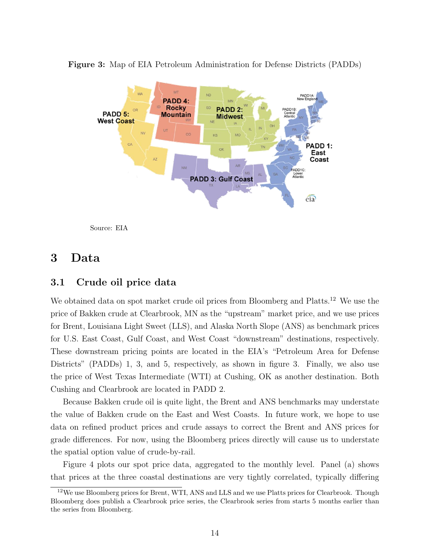

Figure 3: Map of EIA Petroleum Administration for Defense Districts (PADDs)



## 3 Data

## 3.1 Crude oil price data

We obtained data on spot market crude oil prices from Bloomberg and Platts.<sup>12</sup> We use the price of Bakken crude at Clearbrook, MN as the "upstream" market price, and we use prices for Brent, Louisiana Light Sweet (LLS), and Alaska North Slope (ANS) as benchmark prices for U.S. East Coast, Gulf Coast, and West Coast "downstream" destinations, respectively. These downstream pricing points are located in the EIA's "Petroleum Area for Defense Districts" (PADDs) 1, 3, and 5, respectively, as shown in figure 3. Finally, we also use the price of West Texas Intermediate (WTI) at Cushing, OK as another destination. Both Cushing and Clearbrook are located in PADD 2.

Because Bakken crude oil is quite light, the Brent and ANS benchmarks may understate the value of Bakken crude on the East and West Coasts. In future work, we hope to use data on refined product prices and crude assays to correct the Brent and ANS prices for grade differences. For now, using the Bloomberg prices directly will cause us to understate the spatial option value of crude-by-rail.

Figure 4 plots our spot price data, aggregated to the monthly level. Panel (a) shows that prices at the three coastal destinations are very tightly correlated, typically differing

<sup>&</sup>lt;sup>12</sup>We use Bloomberg prices for Brent, WTI, ANS and LLS and we use Platts prices for Clearbrook. Though Bloomberg does publish a Clearbrook price series, the Clearbrook series from starts 5 months earlier than the series from Bloomberg.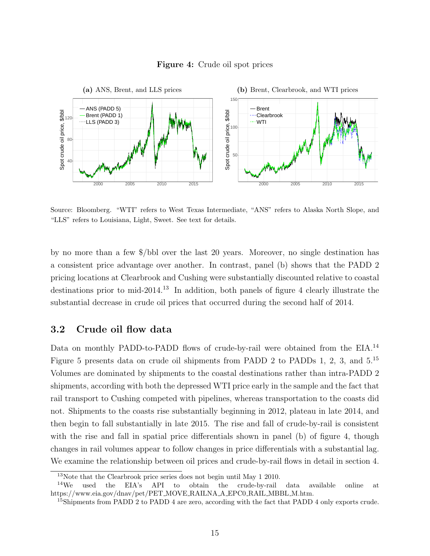



Source: Bloomberg. "WTI" refers to West Texas Intermediate, "ANS" refers to Alaska North Slope, and "LLS" refers to Louisiana, Light, Sweet. See text for details.

by no more than a few \$/bbl over the last 20 years. Moreover, no single destination has a consistent price advantage over another. In contrast, panel (b) shows that the PADD 2 pricing locations at Clearbrook and Cushing were substantially discounted relative to coastal destinations prior to mid-2014.<sup>13</sup> In addition, both panels of figure 4 clearly illustrate the substantial decrease in crude oil prices that occurred during the second half of 2014.

## 3.2 Crude oil flow data

Data on monthly PADD-to-PADD flows of crude-by-rail were obtained from the EIA.<sup>14</sup> Figure 5 presents data on crude oil shipments from PADD 2 to PADDs 1, 2, 3, and 5.<sup>15</sup> Volumes are dominated by shipments to the coastal destinations rather than intra-PADD 2 shipments, according with both the depressed WTI price early in the sample and the fact that rail transport to Cushing competed with pipelines, whereas transportation to the coasts did not. Shipments to the coasts rise substantially beginning in 2012, plateau in late 2014, and then begin to fall substantially in late 2015. The rise and fall of crude-by-rail is consistent with the rise and fall in spatial price differentials shown in panel (b) of figure 4, though changes in rail volumes appear to follow changes in price differentials with a substantial lag. We examine the relationship between oil prices and crude-by-rail flows in detail in section 4.

<sup>13</sup>Note that the Clearbrook price series does not begin until May 1 2010.

 $14\text{We}$  used the EIA's API to obtain the crude-by-rail data available online at https://www.eia.gov/dnav/pet/PET MOVE RAILNA A EPC0 RAIL MBBL M.htm.

<sup>&</sup>lt;sup>15</sup>Shipments from PADD 2 to PADD 4 are zero, according with the fact that PADD 4 only exports crude.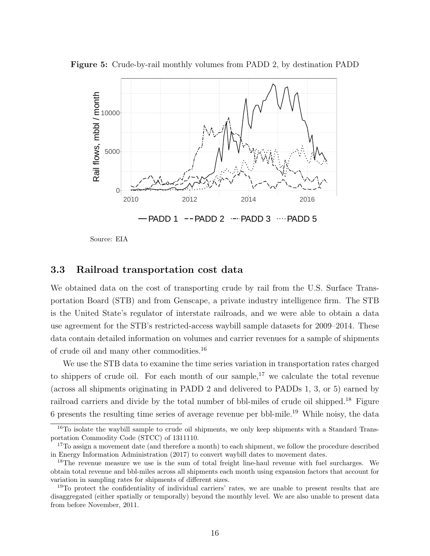



Source: EIA

## 3.3 Railroad transportation cost data

We obtained data on the cost of transporting crude by rail from the U.S. Surface Transportation Board (STB) and from Genscape, a private industry intelligence firm. The STB is the United State's regulator of interstate railroads, and we were able to obtain a data use agreement for the STB's restricted-access waybill sample datasets for 2009–2014. These data contain detailed information on volumes and carrier revenues for a sample of shipments of crude oil and many other commodities.<sup>16</sup>

We use the STB data to examine the time series variation in transportation rates charged to shippers of crude oil. For each month of our sample,<sup>17</sup> we calculate the total revenue (across all shipments originating in PADD 2 and delivered to PADDs 1, 3, or 5) earned by railroad carriers and divide by the total number of bbl-miles of crude oil shipped.<sup>18</sup> Figure 6 presents the resulting time series of average revenue per bbl-mile.<sup>19</sup> While noisy, the data

<sup>&</sup>lt;sup>16</sup>To isolate the waybill sample to crude oil shipments, we only keep shipments with a Standard Transportation Commodity Code (STCC) of 1311110.

<sup>&</sup>lt;sup>17</sup>To assign a movement date (and therefore a month) to each shipment, we follow the procedure described in Energy Information Administration (2017) to convert waybill dates to movement dates.

<sup>&</sup>lt;sup>18</sup>The revenue measure we use is the sum of total freight line-haul revenue with fuel surcharges. We obtain total revenue and bbl-miles across all shipments each month using expansion factors that account for variation in sampling rates for shipments of different sizes.

<sup>&</sup>lt;sup>19</sup>To protect the confidentiality of individual carriers' rates, we are unable to present results that are disaggregated (either spatially or temporally) beyond the monthly level. We are also unable to present data from before November, 2011.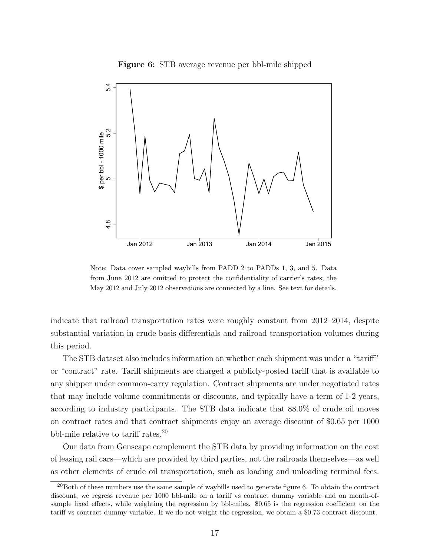Figure 6: STB average revenue per bbl-mile shipped



Note: Data cover sampled waybills from PADD 2 to PADDs 1, 3, and 5. Data from June 2012 are omitted to protect the confidentiality of carrier's rates; the May 2012 and July 2012 observations are connected by a line. See text for details.

indicate that railroad transportation rates were roughly constant from 2012–2014, despite substantial variation in crude basis differentials and railroad transportation volumes during this period.

The STB dataset also includes information on whether each shipment was under a "tariff" or "contract" rate. Tariff shipments are charged a publicly-posted tariff that is available to any shipper under common-carry regulation. Contract shipments are under negotiated rates that may include volume commitments or discounts, and typically have a term of 1-2 years, according to industry participants. The STB data indicate that 88.0% of crude oil moves on contract rates and that contract shipments enjoy an average discount of \$0.65 per 1000 bbl-mile relative to tariff rates.<sup>20</sup>

Our data from Genscape complement the STB data by providing information on the cost of leasing rail cars—which are provided by third parties, not the railroads themselves—as well as other elements of crude oil transportation, such as loading and unloading terminal fees.

 $20$ Both of these numbers use the same sample of waybills used to generate figure 6. To obtain the contract discount, we regress revenue per 1000 bbl-mile on a tariff vs contract dummy variable and on month-ofsample fixed effects, while weighting the regression by bbl-miles. \$0.65 is the regression coefficient on the tariff vs contract dummy variable. If we do not weight the regression, we obtain a \$0.73 contract discount.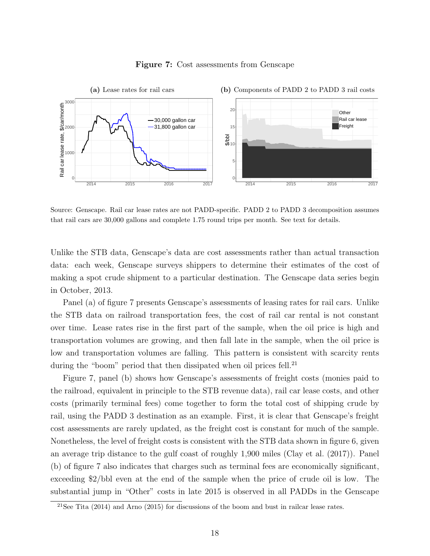

#### Figure 7: Cost assessments from Genscape

Source: Genscape. Rail car lease rates are not PADD-specific. PADD 2 to PADD 3 decomposition assumes that rail cars are 30,000 gallons and complete 1.75 round trips per month. See text for details.

Unlike the STB data, Genscape's data are cost assessments rather than actual transaction data: each week, Genscape surveys shippers to determine their estimates of the cost of making a spot crude shipment to a particular destination. The Genscape data series begin in October, 2013.

Panel (a) of figure 7 presents Genscape's assessments of leasing rates for rail cars. Unlike the STB data on railroad transportation fees, the cost of rail car rental is not constant over time. Lease rates rise in the first part of the sample, when the oil price is high and transportation volumes are growing, and then fall late in the sample, when the oil price is low and transportation volumes are falling. This pattern is consistent with scarcity rents during the "boom" period that then dissipated when oil prices fell.<sup>21</sup>

Figure 7, panel (b) shows how Genscape's assessments of freight costs (monies paid to the railroad, equivalent in principle to the STB revenue data), rail car lease costs, and other costs (primarily terminal fees) come together to form the total cost of shipping crude by rail, using the PADD 3 destination as an example. First, it is clear that Genscape's freight cost assessments are rarely updated, as the freight cost is constant for much of the sample. Nonetheless, the level of freight costs is consistent with the STB data shown in figure 6, given an average trip distance to the gulf coast of roughly 1,900 miles (Clay et al. (2017)). Panel (b) of figure 7 also indicates that charges such as terminal fees are economically significant, exceeding \$2/bbl even at the end of the sample when the price of crude oil is low. The substantial jump in "Other" costs in late 2015 is observed in all PADDs in the Genscape

<sup>&</sup>lt;sup>21</sup>See Tita (2014) and Arno (2015) for discussions of the boom and bust in railcar lease rates.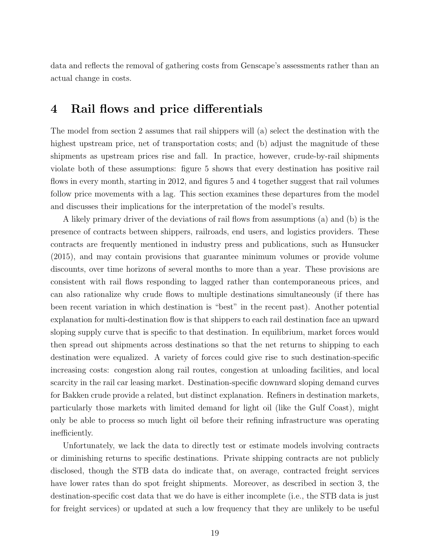data and reflects the removal of gathering costs from Genscape's assessments rather than an actual change in costs.

## 4 Rail flows and price differentials

The model from section 2 assumes that rail shippers will (a) select the destination with the highest upstream price, net of transportation costs; and (b) adjust the magnitude of these shipments as upstream prices rise and fall. In practice, however, crude-by-rail shipments violate both of these assumptions: figure 5 shows that every destination has positive rail flows in every month, starting in 2012, and figures 5 and 4 together suggest that rail volumes follow price movements with a lag. This section examines these departures from the model and discusses their implications for the interpretation of the model's results.

A likely primary driver of the deviations of rail flows from assumptions (a) and (b) is the presence of contracts between shippers, railroads, end users, and logistics providers. These contracts are frequently mentioned in industry press and publications, such as Hunsucker (2015), and may contain provisions that guarantee minimum volumes or provide volume discounts, over time horizons of several months to more than a year. These provisions are consistent with rail flows responding to lagged rather than contemporaneous prices, and can also rationalize why crude flows to multiple destinations simultaneously (if there has been recent variation in which destination is "best" in the recent past). Another potential explanation for multi-destination flow is that shippers to each rail destination face an upward sloping supply curve that is specific to that destination. In equilibrium, market forces would then spread out shipments across destinations so that the net returns to shipping to each destination were equalized. A variety of forces could give rise to such destination-specific increasing costs: congestion along rail routes, congestion at unloading facilities, and local scarcity in the rail car leasing market. Destination-specific downward sloping demand curves for Bakken crude provide a related, but distinct explanation. Refiners in destination markets, particularly those markets with limited demand for light oil (like the Gulf Coast), might only be able to process so much light oil before their refining infrastructure was operating inefficiently.

Unfortunately, we lack the data to directly test or estimate models involving contracts or diminishing returns to specific destinations. Private shipping contracts are not publicly disclosed, though the STB data do indicate that, on average, contracted freight services have lower rates than do spot freight shipments. Moreover, as described in section 3, the destination-specific cost data that we do have is either incomplete (i.e., the STB data is just for freight services) or updated at such a low frequency that they are unlikely to be useful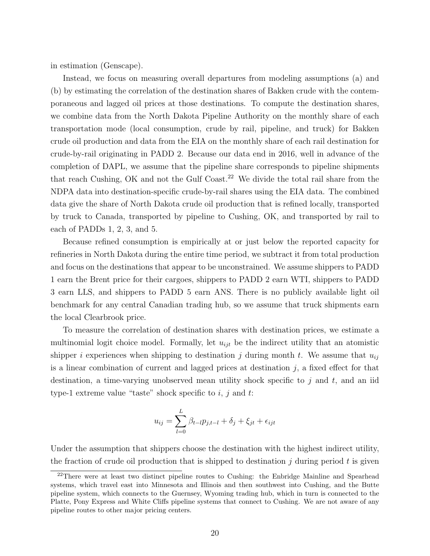in estimation (Genscape).

Instead, we focus on measuring overall departures from modeling assumptions (a) and (b) by estimating the correlation of the destination shares of Bakken crude with the contemporaneous and lagged oil prices at those destinations. To compute the destination shares, we combine data from the North Dakota Pipeline Authority on the monthly share of each transportation mode (local consumption, crude by rail, pipeline, and truck) for Bakken crude oil production and data from the EIA on the monthly share of each rail destination for crude-by-rail originating in PADD 2. Because our data end in 2016, well in advance of the completion of DAPL, we assume that the pipeline share corresponds to pipeline shipments that reach Cushing, OK and not the Gulf Coast.<sup>22</sup> We divide the total rail share from the NDPA data into destination-specific crude-by-rail shares using the EIA data. The combined data give the share of North Dakota crude oil production that is refined locally, transported by truck to Canada, transported by pipeline to Cushing, OK, and transported by rail to each of PADDs 1, 2, 3, and 5.

Because refined consumption is empirically at or just below the reported capacity for refineries in North Dakota during the entire time period, we subtract it from total production and focus on the destinations that appear to be unconstrained. We assume shippers to PADD 1 earn the Brent price for their cargoes, shippers to PADD 2 earn WTI, shippers to PADD 3 earn LLS, and shippers to PADD 5 earn ANS. There is no publicly available light oil benchmark for any central Canadian trading hub, so we assume that truck shipments earn the local Clearbrook price.

To measure the correlation of destination shares with destination prices, we estimate a multinomial logit choice model. Formally, let  $u_{ijt}$  be the indirect utility that an atomistic shipper i experiences when shipping to destination j during month t. We assume that  $u_{ij}$ is a linear combination of current and lagged prices at destination  $j$ , a fixed effect for that destination, a time-varying unobserved mean utility shock specific to  $j$  and  $t$ , and an iid type-1 extreme value "taste" shock specific to  $i, j$  and  $t$ :

$$
u_{ij} = \sum_{l=0}^{L} \beta_{t-l} p_{j,t-l} + \delta_j + \xi_{jt} + \epsilon_{ijt}
$$

Under the assumption that shippers choose the destination with the highest indirect utility, the fraction of crude oil production that is shipped to destination  $j$  during period t is given

<sup>&</sup>lt;sup>22</sup>There were at least two distinct pipeline routes to Cushing: the Enbridge Mainline and Spearhead systems, which travel east into Minnesota and Illinois and then southwest into Cushing, and the Butte pipeline system, which connects to the Guernsey, Wyoming trading hub, which in turn is connected to the Platte, Pony Express and White Cliffs pipeline systems that connect to Cushing. We are not aware of any pipeline routes to other major pricing centers.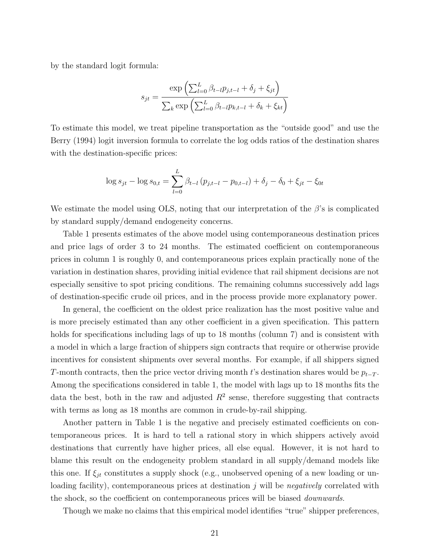by the standard logit formula:

$$
s_{jt} = \frac{\exp\left(\sum_{l=0}^{L} \beta_{t-l} p_{j,t-l} + \delta_j + \xi_{jt}\right)}{\sum_k \exp\left(\sum_{l=0}^{L} \beta_{t-l} p_{k,t-l} + \delta_k + \xi_{kt}\right)}
$$

To estimate this model, we treat pipeline transportation as the "outside good" and use the Berry (1994) logit inversion formula to correlate the log odds ratios of the destination shares with the destination-specific prices:

$$
\log s_{jt} - \log s_{0,t} = \sum_{l=0}^{L} \beta_{t-l} (p_{j,t-l} - p_{0,t-l}) + \delta_j - \delta_0 + \xi_{jt} - \xi_{0t}
$$

We estimate the model using OLS, noting that our interpretation of the  $\beta$ 's is complicated by standard supply/demand endogeneity concerns.

Table 1 presents estimates of the above model using contemporaneous destination prices and price lags of order 3 to 24 months. The estimated coefficient on contemporaneous prices in column 1 is roughly 0, and contemporaneous prices explain practically none of the variation in destination shares, providing initial evidence that rail shipment decisions are not especially sensitive to spot pricing conditions. The remaining columns successively add lags of destination-specific crude oil prices, and in the process provide more explanatory power.

In general, the coefficient on the oldest price realization has the most positive value and is more precisely estimated than any other coefficient in a given specification. This pattern holds for specifications including lags of up to 18 months (column 7) and is consistent with a model in which a large fraction of shippers sign contracts that require or otherwise provide incentives for consistent shipments over several months. For example, if all shippers signed T-month contracts, then the price vector driving month t's destination shares would be  $p_{t-T}$ . Among the specifications considered in table 1, the model with lags up to 18 months fits the data the best, both in the raw and adjusted  $R^2$  sense, therefore suggesting that contracts with terms as long as 18 months are common in crude-by-rail shipping.

Another pattern in Table 1 is the negative and precisely estimated coefficients on contemporaneous prices. It is hard to tell a rational story in which shippers actively avoid destinations that currently have higher prices, all else equal. However, it is not hard to blame this result on the endogeneity problem standard in all supply/demand models like this one. If  $\xi_{jt}$  constitutes a supply shock (e.g., unobserved opening of a new loading or unloading facility), contemporaneous prices at destination  $j$  will be *negatively* correlated with the shock, so the coefficient on contemporaneous prices will be biased *downwards*.

Though we make no claims that this empirical model identifies "true" shipper preferences,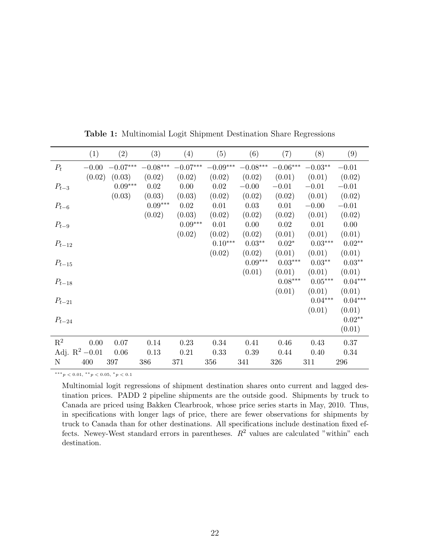|                   | (1)     | (2)                   | (3)                    | (4)                    | (5)                    | (6)                    | (7)        | (8)                   | (9)       |
|-------------------|---------|-----------------------|------------------------|------------------------|------------------------|------------------------|------------|-----------------------|-----------|
| $P_t$             | $-0.00$ | $-0.07\mbox{***}$     | $-0.08^{\ast\ast\ast}$ | $-0.07^{\ast\ast\ast}$ | $-0.09^{\ast\ast\ast}$ | $-0.08^{\ast\ast\ast}$ | $-0.06***$ | $-0.03**$             | $-0.01$   |
|                   | (0.02)  | (0.03)                | (0.02)                 | (0.02)                 | (0.02)                 | (0.02)                 | (0.01)     | (0.01)                | (0.02)    |
| $P_{t-3}$         |         | $0.09^{\ast\ast\ast}$ | 0.02                   | 0.00                   | 0.02                   | $-0.00$                | $-0.01$    | $-0.01$               | $-0.01$   |
|                   |         | (0.03)                | (0.03)                 | (0.03)                 | (0.02)                 | (0.02)                 | (0.02)     | (0.01)                | (0.02)    |
| $P_{t-6}$         |         |                       | $0.09***$              | 0.02                   | 0.01                   | 0.03                   | 0.01       | $-0.00$               | $-0.01$   |
|                   |         |                       | (0.02)                 | (0.03)                 | (0.02)                 | (0.02)                 | (0.02)     | (0.01)                | (0.02)    |
| $P_{t-9}$         |         |                       |                        | $0.09^{\ast\ast\ast}$  | 0.01                   | 0.00                   | 0.02       | 0.01                  | 0.00      |
|                   |         |                       |                        | (0.02)                 | (0.02)                 | (0.02)                 | (0.01)     | (0.01)                | (0.01)    |
| $P_{t-12}$        |         |                       |                        |                        | $0.10***$              | $0.03**$               | $0.02*$    | $0.03^{\ast\ast\ast}$ | $0.02**$  |
|                   |         |                       |                        |                        | (0.02)                 | (0.02)                 | (0.01)     | (0.01)                | (0.01)    |
| $P_{t-15}$        |         |                       |                        |                        |                        | $0.09^{\ast\ast\ast}$  | $0.03***$  | $0.03**$              | $0.03**$  |
|                   |         |                       |                        |                        |                        | (0.01)                 | (0.01)     | (0.01)                | (0.01)    |
| $P_{t-18}$        |         |                       |                        |                        |                        |                        | $0.08***$  | $0.05***$             | $0.04***$ |
|                   |         |                       |                        |                        |                        |                        | (0.01)     | (0.01)                | (0.01)    |
| $P_{t-21}$        |         |                       |                        |                        |                        |                        |            | $0.04***$             | $0.04***$ |
|                   |         |                       |                        |                        |                        |                        |            | (0.01)                | (0.01)    |
| $P_{t-24}$        |         |                       |                        |                        |                        |                        |            |                       | $0.02**$  |
|                   |         |                       |                        |                        |                        |                        |            |                       | (0.01)    |
| $\mathbf{R}^2$    | 0.00    | 0.07                  | 0.14                   | 0.23                   | 0.34                   | 0.41                   | 0.46       | 0.43                  | 0.37      |
| Adj. $R^2 - 0.01$ |         | 0.06                  | 0.13                   | 0.21                   | 0.33                   | 0.39                   | 0.44       | 0.40                  | 0.34      |
| $\mathbf N$       | 400     | 397                   | 386                    | 371                    | 356                    | 341                    | 326        | 311                   | 296       |

Table 1: Multinomial Logit Shipment Destination Share Regressions

∗∗∗p < 0.01, ∗∗p < 0.05, <sup>∗</sup>p < 0.1

Multinomial logit regressions of shipment destination shares onto current and lagged destination prices. PADD 2 pipeline shipments are the outside good. Shipments by truck to Canada are priced using Bakken Clearbrook, whose price series starts in May, 2010. Thus, in specifications with longer lags of price, there are fewer observations for shipments by truck to Canada than for other destinations. All specifications include destination fixed effects. Newey-West standard errors in parentheses.  $R^2$  values are calculated "within" each destination.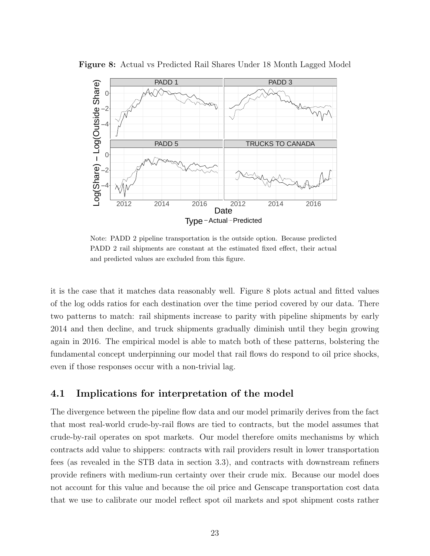

Figure 8: Actual vs Predicted Rail Shares Under 18 Month Lagged Model

Note: PADD 2 pipeline transportation is the outside option. Because predicted PADD 2 rail shipments are constant at the estimated fixed effect, their actual and predicted values are excluded from this figure.

it is the case that it matches data reasonably well. Figure 8 plots actual and fitted values of the log odds ratios for each destination over the time period covered by our data. There two patterns to match: rail shipments increase to parity with pipeline shipments by early 2014 and then decline, and truck shipments gradually diminish until they begin growing again in 2016. The empirical model is able to match both of these patterns, bolstering the fundamental concept underpinning our model that rail flows do respond to oil price shocks, even if those responses occur with a non-trivial lag.

## 4.1 Implications for interpretation of the model

The divergence between the pipeline flow data and our model primarily derives from the fact that most real-world crude-by-rail flows are tied to contracts, but the model assumes that crude-by-rail operates on spot markets. Our model therefore omits mechanisms by which contracts add value to shippers: contracts with rail providers result in lower transportation fees (as revealed in the STB data in section 3.3), and contracts with downstream refiners provide refiners with medium-run certainty over their crude mix. Because our model does not account for this value and because the oil price and Genscape transportation cost data that we use to calibrate our model reflect spot oil markets and spot shipment costs rather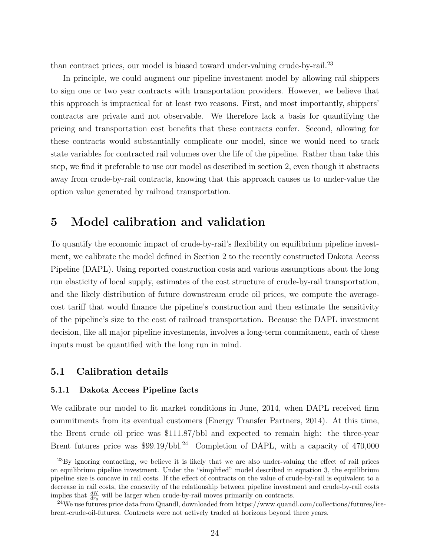than contract prices, our model is biased toward under-valuing crude-by-rail.<sup>23</sup>

In principle, we could augment our pipeline investment model by allowing rail shippers to sign one or two year contracts with transportation providers. However, we believe that this approach is impractical for at least two reasons. First, and most importantly, shippers' contracts are private and not observable. We therefore lack a basis for quantifying the pricing and transportation cost benefits that these contracts confer. Second, allowing for these contracts would substantially complicate our model, since we would need to track state variables for contracted rail volumes over the life of the pipeline. Rather than take this step, we find it preferable to use our model as described in section 2, even though it abstracts away from crude-by-rail contracts, knowing that this approach causes us to under-value the option value generated by railroad transportation.

## 5 Model calibration and validation

To quantify the economic impact of crude-by-rail's flexibility on equilibrium pipeline investment, we calibrate the model defined in Section 2 to the recently constructed Dakota Access Pipeline (DAPL). Using reported construction costs and various assumptions about the long run elasticity of local supply, estimates of the cost structure of crude-by-rail transportation, and the likely distribution of future downstream crude oil prices, we compute the averagecost tariff that would finance the pipeline's construction and then estimate the sensitivity of the pipeline's size to the cost of railroad transportation. Because the DAPL investment decision, like all major pipeline investments, involves a long-term commitment, each of these inputs must be quantified with the long run in mind.

### 5.1 Calibration details

### 5.1.1 Dakota Access Pipeline facts

We calibrate our model to fit market conditions in June, 2014, when DAPL received firm commitments from its eventual customers (Energy Transfer Partners, 2014). At this time, the Brent crude oil price was \$111.87/bbl and expected to remain high: the three-year Brent futures price was \$99.19/bbl.<sup>24</sup> Completion of DAPL, with a capacity of 470,000

<sup>&</sup>lt;sup>23</sup>By ignoring contacting, we believe it is likely that we are also under-valuing the effect of rail prices on equilibrium pipeline investment. Under the "simplified" model described in equation 3, the equilibrium pipeline size is concave in rail costs. If the effect of contracts on the value of crude-by-rail is equivalent to a decrease in rail costs, the concavity of the relationship between pipeline investment and crude-by-rail costs implies that  $\frac{dK}{dr_0}$  will be larger when crude-by-rail moves primarily on contracts.

<sup>&</sup>lt;sup>24</sup>We use futures price data from Quandl, downloaded from https://www.quandl.com/collections/futures/icebrent-crude-oil-futures. Contracts were not actively traded at horizons beyond three years.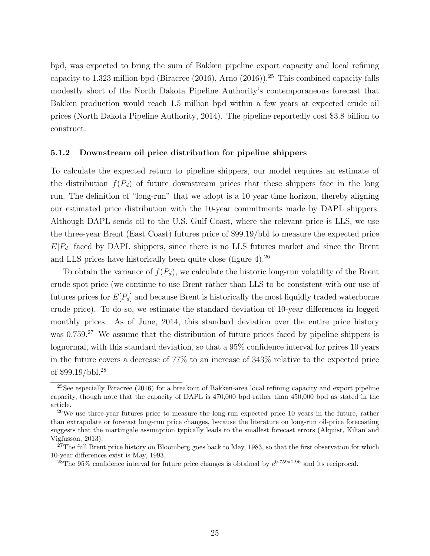bpd, was expected to bring the sum of Bakken pipeline export capacity and local refining capacity to 1.323 million bpd (Biracree (2016), Arno (2016)).<sup>25</sup> This combined capacity falls modestly short of the North Dakota Pipeline Authority's contemporaneous forecast that Bakken production would reach 1.5 million bpd within a few years at expected crude oil prices (North Dakota Pipeline Authority, 2014). The pipeline reportedly cost \$3.8 billion to construct.

#### 5.1.2 Downstream oil price distribution for pipeline shippers

To calculate the expected return to pipeline shippers, our model requires an estimate of the distribution  $f(P_d)$  of future downstream prices that these shippers face in the long run. The definition of "long-run" that we adopt is a 10 year time horizon, thereby aligning our estimated price distribution with the 10-year commitments made by DAPL shippers. Although DAPL sends oil to the U.S. Gulf Coast, where the relevant price is LLS, we use the three-year Brent (East Coast) futures price of \$99.19/bbl to measure the expected price  $E[P_d]$  faced by DAPL shippers, since there is no LLS futures market and since the Brent and LLS prices have historically been quite close (figure 4).<sup>26</sup>

To obtain the variance of  $f(P_d)$ , we calculate the historic long-run volatility of the Brent crude spot price (we continue to use Brent rather than LLS to be consistent with our use of futures prices for  $E[P_d]$  and because Brent is historically the most liquidly traded waterborne crude price). To do so, we estimate the standard deviation of 10-year differences in logged monthly prices. As of June, 2014, this standard deviation over the entire price history was 0.759.<sup>27</sup> We assume that the distribution of future prices faced by pipeline shippers is lognormal, with this standard deviation, so that a 95% confidence interval for prices 10 years in the future covers a decrease of 77% to an increase of 343% relative to the expected price of \$99.19/bbl.<sup>28</sup>

<sup>&</sup>lt;sup>25</sup>See especially Biracree (2016) for a breakout of Bakken-area local refining capacity and export pipeline capacity, though note that the capacity of DAPL is 470,000 bpd rather than 450,000 bpd as stated in the article.

<sup>&</sup>lt;sup>26</sup>We use three-year futures price to measure the long-run expected price 10 years in the future, rather than extrapolate or forecast long-run price changes, because the literature on long-run oil-price forecasting suggests that the martingale assumption typically leads to the smallest forecast errors (Alquist, Kilian and Vigfusson, 2013).

<sup>&</sup>lt;sup>27</sup>The full Brent price history on Bloomberg goes back to May, 1983, so that the first observation for which 10-year differences exist is May, 1993.

<sup>&</sup>lt;sup>28</sup>The 95% confidence interval for future price changes is obtained by  $e^{0.759*1.96}$  and its reciprocal.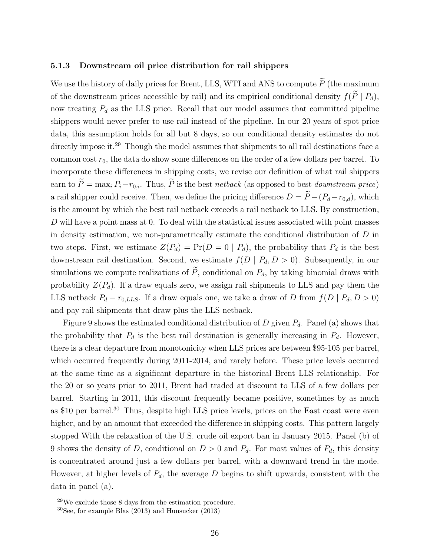#### 5.1.3 Downstream oil price distribution for rail shippers

We use the history of daily prices for Brent, LLS, WTI and ANS to compute  $\widetilde{P}$  (the maximum of the downstream prices accessible by rail) and its empirical conditional density  $f(\tilde{P} | P_d)$ , now treating  $P_d$  as the LLS price. Recall that our model assumes that committed pipeline shippers would never prefer to use rail instead of the pipeline. In our 20 years of spot price data, this assumption holds for all but 8 days, so our conditional density estimates do not directly impose it.<sup>29</sup> Though the model assumes that shipments to all rail destinations face a common cost  $r_0$ , the data do show some differences on the order of a few dollars per barrel. To incorporate these differences in shipping costs, we revise our definition of what rail shippers earn to  $\widetilde{P} = \max_i P_i - r_{0,i}$ . Thus,  $\widetilde{P}$  is the best netback (as opposed to best downstream price) a rail shipper could receive. Then, we define the pricing difference  $D = \widetilde{P}-(P_d-r_{0,d})$ , which is the amount by which the best rail netback exceeds a rail netback to LLS. By construction, D will have a point mass at 0. To deal with the statistical issues associated with point masses in density estimation, we non-parametrically estimate the conditional distribution of D in two steps. First, we estimate  $Z(P_d) = Pr(D = 0 | P_d)$ , the probability that  $P_d$  is the best downstream rail destination. Second, we estimate  $f(D | P_d, D > 0)$ . Subsequently, in our simulations we compute realizations of  $\widetilde{P}$ , conditional on  $P_d$ , by taking binomial draws with probability  $Z(P_d)$ . If a draw equals zero, we assign rail shipments to LLS and pay them the LLS netback  $P_d - r_{0,LLS}$ . If a draw equals one, we take a draw of D from  $f(D | P_d, D > 0)$ and pay rail shipments that draw plus the LLS netback.

Figure 9 shows the estimated conditional distribution of D given  $P_d$ . Panel (a) shows that the probability that  $P_d$  is the best rail destination is generally increasing in  $P_d$ . However, there is a clear departure from monotonicity when LLS prices are between \$95-105 per barrel, which occurred frequently during 2011-2014, and rarely before. These price levels occurred at the same time as a significant departure in the historical Brent LLS relationship. For the 20 or so years prior to 2011, Brent had traded at discount to LLS of a few dollars per barrel. Starting in 2011, this discount frequently became positive, sometimes by as much as \$10 per barrel.<sup>30</sup> Thus, despite high LLS price levels, prices on the East coast were even higher, and by an amount that exceeded the difference in shipping costs. This pattern largely stopped With the relaxation of the U.S. crude oil export ban in January 2015. Panel (b) of 9 shows the density of D, conditional on  $D > 0$  and  $P_d$ . For most values of  $P_d$ , this density is concentrated around just a few dollars per barrel, with a downward trend in the mode. However, at higher levels of  $P_d$ , the average D begins to shift upwards, consistent with the data in panel (a).

 $^{29}$ We exclude those 8 days from the estimation procedure.

 $30$ See, for example Blas (2013) and Hunsucker (2013)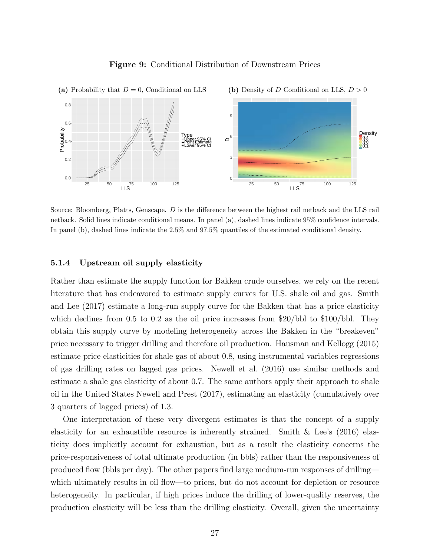

#### Figure 9: Conditional Distribution of Downstream Prices

Source: Bloomberg, Platts, Genscape. D is the difference between the highest rail netback and the LLS rail netback. Solid lines indicate conditional means. In panel (a), dashed lines indicate 95% confidence intervals. In panel (b), dashed lines indicate the 2.5% and 97.5% quantiles of the estimated conditional density.

### 5.1.4 Upstream oil supply elasticity

Rather than estimate the supply function for Bakken crude ourselves, we rely on the recent literature that has endeavored to estimate supply curves for U.S. shale oil and gas. Smith and Lee (2017) estimate a long-run supply curve for the Bakken that has a price elasticity which declines from  $0.5$  to  $0.2$  as the oil price increases from \$20/bbl to \$100/bbl. They obtain this supply curve by modeling heterogeneity across the Bakken in the "breakeven" price necessary to trigger drilling and therefore oil production. Hausman and Kellogg (2015) estimate price elasticities for shale gas of about 0.8, using instrumental variables regressions of gas drilling rates on lagged gas prices. Newell et al. (2016) use similar methods and estimate a shale gas elasticity of about 0.7. The same authors apply their approach to shale oil in the United States Newell and Prest (2017), estimating an elasticity (cumulatively over 3 quarters of lagged prices) of 1.3.

One interpretation of these very divergent estimates is that the concept of a supply elasticity for an exhaustible resource is inherently strained. Smith & Lee's (2016) elasticity does implicitly account for exhaustion, but as a result the elasticity concerns the price-responsiveness of total ultimate production (in bbls) rather than the responsiveness of produced flow (bbls per day). The other papers find large medium-run responses of drilling which ultimately results in oil flow—to prices, but do not account for depletion or resource heterogeneity. In particular, if high prices induce the drilling of lower-quality reserves, the production elasticity will be less than the drilling elasticity. Overall, given the uncertainty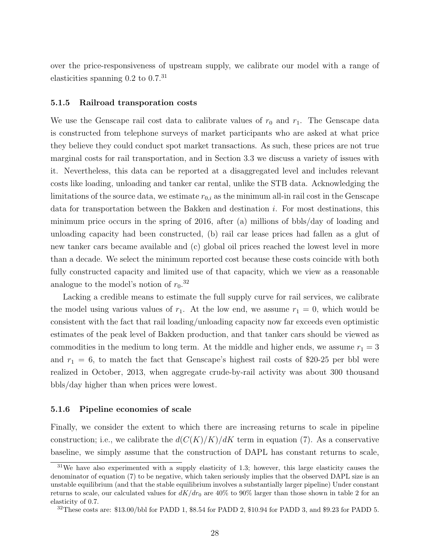over the price-responsiveness of upstream supply, we calibrate our model with a range of elasticities spanning  $0.2$  to  $0.7^{31}$ 

#### 5.1.5 Railroad transporation costs

We use the Genscape rail cost data to calibrate values of  $r_0$  and  $r_1$ . The Genscape data is constructed from telephone surveys of market participants who are asked at what price they believe they could conduct spot market transactions. As such, these prices are not true marginal costs for rail transportation, and in Section 3.3 we discuss a variety of issues with it. Nevertheless, this data can be reported at a disaggregated level and includes relevant costs like loading, unloading and tanker car rental, unlike the STB data. Acknowledging the limitations of the source data, we estimate  $r_{0,i}$  as the minimum all-in rail cost in the Genscape data for transportation between the Bakken and destination i. For most destinations, this minimum price occurs in the spring of 2016, after (a) millions of bbls/day of loading and unloading capacity had been constructed, (b) rail car lease prices had fallen as a glut of new tanker cars became available and (c) global oil prices reached the lowest level in more than a decade. We select the minimum reported cost because these costs coincide with both fully constructed capacity and limited use of that capacity, which we view as a reasonable analogue to the model's notion of  $r_0$ .<sup>32</sup>

Lacking a credible means to estimate the full supply curve for rail services, we calibrate the model using various values of  $r_1$ . At the low end, we assume  $r_1 = 0$ , which would be consistent with the fact that rail loading/unloading capacity now far exceeds even optimistic estimates of the peak level of Bakken production, and that tanker cars should be viewed as commodities in the medium to long term. At the middle and higher ends, we assume  $r_1 = 3$ and  $r_1 = 6$ , to match the fact that Genscape's highest rail costs of \$20-25 per bbl were realized in October, 2013, when aggregate crude-by-rail activity was about 300 thousand bbls/day higher than when prices were lowest.

#### 5.1.6 Pipeline economies of scale

Finally, we consider the extent to which there are increasing returns to scale in pipeline construction; i.e., we calibrate the  $d(C(K)/K)/dK$  term in equation (7). As a conservative baseline, we simply assume that the construction of DAPL has constant returns to scale,

<sup>31</sup>We have also experimented with a supply elasticity of 1.3; however, this large elasticity causes the denominator of equation (7) to be negative, which taken seriously implies that the observed DAPL size is an unstable equilibrium (and that the stable equilibrium involves a substantially larger pipeline) Under constant returns to scale, our calculated values for  $dK/dr_0$  are 40% to 90% larger than those shown in table 2 for an elasticity of 0.7.

<sup>32</sup>These costs are: \$13.00/bbl for PADD 1, \$8.54 for PADD 2, \$10.94 for PADD 3, and \$9.23 for PADD 5.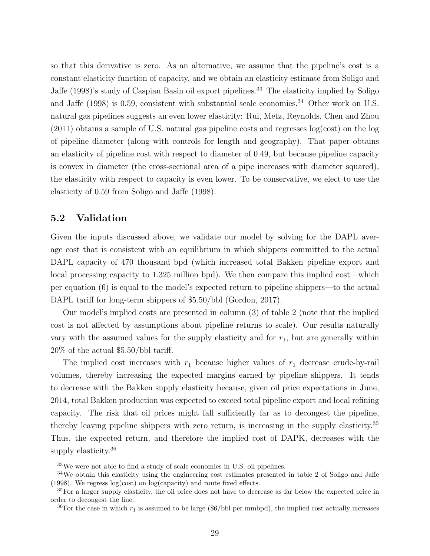so that this derivative is zero. As an alternative, we assume that the pipeline's cost is a constant elasticity function of capacity, and we obtain an elasticity estimate from Soligo and Jaffe (1998)'s study of Caspian Basin oil export pipelines.<sup>33</sup> The elasticity implied by Soligo and Jaffe (1998) is 0.59, consistent with substantial scale economies.<sup>34</sup> Other work on U.S. natural gas pipelines suggests an even lower elasticity: Rui, Metz, Reynolds, Chen and Zhou (2011) obtains a sample of U.S. natural gas pipeline costs and regresses log(cost) on the log of pipeline diameter (along with controls for length and geography). That paper obtains an elasticity of pipeline cost with respect to diameter of 0.49, but because pipeline capacity is convex in diameter (the cross-sectional area of a pipe increases with diameter squared), the elasticity with respect to capacity is even lower. To be conservative, we elect to use the elasticity of 0.59 from Soligo and Jaffe (1998).

## 5.2 Validation

Given the inputs discussed above, we validate our model by solving for the DAPL average cost that is consistent with an equilibrium in which shippers committed to the actual DAPL capacity of 470 thousand bpd (which increased total Bakken pipeline export and local processing capacity to 1.325 million bpd). We then compare this implied cost—which per equation (6) is equal to the model's expected return to pipeline shippers—to the actual DAPL tariff for long-term shippers of \$5.50/bbl (Gordon, 2017).

Our model's implied costs are presented in column (3) of table 2 (note that the implied cost is not affected by assumptions about pipeline returns to scale). Our results naturally vary with the assumed values for the supply elasticity and for  $r_1$ , but are generally within 20% of the actual \$5.50/bbl tariff.

The implied cost increases with  $r_1$  because higher values of  $r_1$  decrease crude-by-rail volumes, thereby increasing the expected margins earned by pipeline shippers. It tends to decrease with the Bakken supply elasticity because, given oil price expectations in June, 2014, total Bakken production was expected to exceed total pipeline export and local refining capacity. The risk that oil prices might fall sufficiently far as to decongest the pipeline, thereby leaving pipeline shippers with zero return, is increasing in the supply elasticity.<sup>35</sup> Thus, the expected return, and therefore the implied cost of DAPK, decreases with the supply elasticity.<sup>36</sup>

 $33\text{We}$  were not able to find a study of scale economies in U.S. oil pipelines.

<sup>&</sup>lt;sup>34</sup>We obtain this elasticity using the engineering cost estimates presented in table 2 of Soligo and Jaffe (1998). We regress log(cost) on log(capacity) and route fixed effects.

<sup>&</sup>lt;sup>35</sup>For a larger supply elasticity, the oil price does not have to decrease as far below the expected price in order to decongest the line.

<sup>&</sup>lt;sup>36</sup>For the case in which  $r_1$  is assumed to be large (\$6/bbl per mmbpd), the implied cost actually increases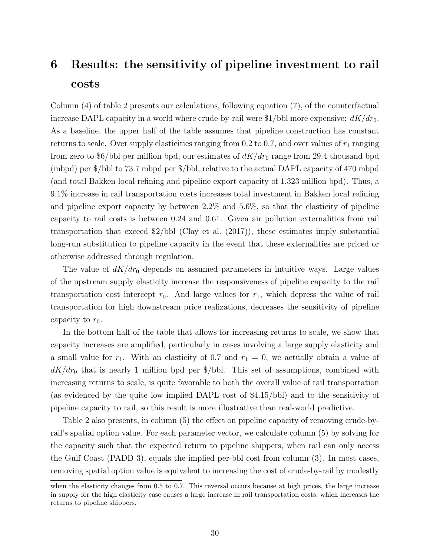# 6 Results: the sensitivity of pipeline investment to rail costs

Column (4) of table 2 presents our calculations, following equation (7), of the counterfactual increase DAPL capacity in a world where crude-by-rail were  $1/b$ bl more expensive:  $dK/dr_0$ . As a baseline, the upper half of the table assumes that pipeline construction has constant returns to scale. Over supply elasticities ranging from 0.2 to 0.7, and over values of  $r_1$  ranging from zero to \$6/bbl per million bpd, our estimates of  $dK/dr_0$  range from 29.4 thousand bpd (mbpd) per \$/bbl to 73.7 mbpd per \$/bbl, relative to the actual DAPL capacity of 470 mbpd (and total Bakken local refining and pipeline export capacity of 1.323 million bpd). Thus, a 9.1% increase in rail transportation costs increases total investment in Bakken local refining and pipeline export capacity by between 2.2% and 5.6%, so that the elasticity of pipeline capacity to rail costs is between 0.24 and 0.61. Given air pollution externalities from rail transportation that exceed \$2/bbl (Clay et al. (2017)), these estimates imply substantial long-run substitution to pipeline capacity in the event that these externalities are priced or otherwise addressed through regulation.

The value of  $dK/dr_0$  depends on assumed parameters in intuitive ways. Large values of the upstream supply elasticity increase the responsiveness of pipeline capacity to the rail transportation cost intercept  $r_0$ . And large values for  $r_1$ , which depress the value of rail transportation for high downstream price realizations, decreases the sensitivity of pipeline capacity to  $r_0$ .

In the bottom half of the table that allows for increasing returns to scale, we show that capacity increases are amplified, particularly in cases involving a large supply elasticity and a small value for  $r_1$ . With an elasticity of 0.7 and  $r_1 = 0$ , we actually obtain a value of  $dK/dr_0$  that is nearly 1 million bpd per \$/bbl. This set of assumptions, combined with increasing returns to scale, is quite favorable to both the overall value of rail transportation (as evidenced by the quite low implied DAPL cost of \$4.15/bbl) and to the sensitivity of pipeline capacity to rail, so this result is more illustrative than real-world predictive.

Table 2 also presents, in column (5) the effect on pipeline capacity of removing crude-byrail's spatial option value. For each parameter vector, we calculate column (5) by solving for the capacity such that the expected return to pipeline shippers, when rail can only access the Gulf Coast (PADD 3), equals the implied per-bbl cost from column (3). In most cases, removing spatial option value is equivalent to increasing the cost of crude-by-rail by modestly

when the elasticity changes from 0.5 to 0.7. This reversal occurs because at high prices, the large increase in supply for the high elasticity case causes a large increase in rail transportation costs, which increases the returns to pipeline shippers.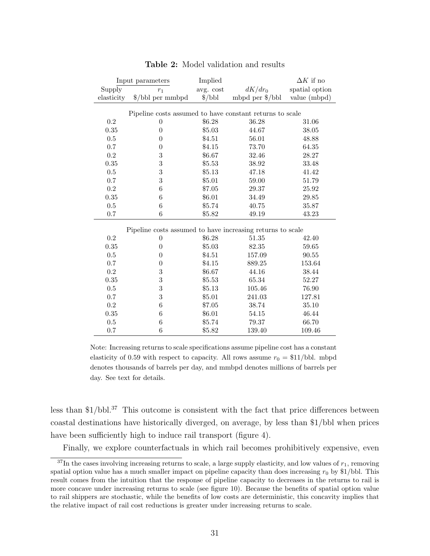|                                                            | Input parameters                  | Implied         |                   | $\Delta K$ if no     |  |  |  |  |  |  |  |
|------------------------------------------------------------|-----------------------------------|-----------------|-------------------|----------------------|--|--|--|--|--|--|--|
| Supply                                                     | $r_1$                             | avg. cost       | $dK/dr_0$         | spatial option       |  |  |  |  |  |  |  |
| elasticity                                                 | $\frac{\delta}{\b}$ bbl per mmbpd | $\frac{\pi}{6}$ | mbpd per $\gamma$ | value (mbpd)         |  |  |  |  |  |  |  |
|                                                            |                                   |                 |                   |                      |  |  |  |  |  |  |  |
| Pipeline costs assumed to have constant returns to scale   |                                   |                 |                   |                      |  |  |  |  |  |  |  |
| 0.2                                                        | $\theta$                          | \$6.28          | 36.28             | 31.06                |  |  |  |  |  |  |  |
| 0.35                                                       | $\overline{0}$                    | \$5.03          | 44.67             | 38.05                |  |  |  |  |  |  |  |
| 0.5                                                        | $\theta$                          | \$4.51          | 56.01             | 48.88                |  |  |  |  |  |  |  |
| 0.7                                                        | $\theta$                          | \$4.15          | 73.70             | 64.35                |  |  |  |  |  |  |  |
| 0.2                                                        | 3                                 | \$6.67          | 32.46             | 28.27                |  |  |  |  |  |  |  |
| 0.35                                                       | 3                                 | \$5.53          | 38.92             | 33.48                |  |  |  |  |  |  |  |
| 0.5                                                        | 3                                 | \$5.13          | 47.18             | 41.42                |  |  |  |  |  |  |  |
| 0.7                                                        | 3                                 | \$5.01          | 59.00             | 51.79                |  |  |  |  |  |  |  |
| $\rm 0.2$                                                  | $\,6$                             | \$7.05          | 29.37             | 25.92                |  |  |  |  |  |  |  |
| 0.35                                                       | $\,6$                             | \$6.01          | 34.49             | 29.85                |  |  |  |  |  |  |  |
| 0.5                                                        | 6                                 | \$5.74          | 40.75             | 35.87                |  |  |  |  |  |  |  |
| $0.7\,$                                                    | $\,6$                             | \$5.82          | 49.19             | 43.23                |  |  |  |  |  |  |  |
|                                                            |                                   |                 |                   |                      |  |  |  |  |  |  |  |
| Pipeline costs assumed to have increasing returns to scale |                                   |                 |                   |                      |  |  |  |  |  |  |  |
| 0.2                                                        | $\theta$                          | \$6.28          | 51.35             | 42.40                |  |  |  |  |  |  |  |
| 0.35                                                       | $\boldsymbol{0}$                  | \$5.03          | 82.35             | 59.65                |  |  |  |  |  |  |  |
| $0.5\,$                                                    | $\boldsymbol{0}$                  | \$4.51          | 157.09            | $\boldsymbol{90.55}$ |  |  |  |  |  |  |  |
| 0.7                                                        | $\theta$                          | \$4.15          | 889.25            | 153.64               |  |  |  |  |  |  |  |
| 0.2                                                        | $\boldsymbol{3}$                  | \$6.67          | 44.16             | 38.44                |  |  |  |  |  |  |  |
| 0.35                                                       | $\sqrt{3}$                        | \$5.53          | 65.34             | 52.27                |  |  |  |  |  |  |  |
| 0.5                                                        | $\overline{3}$                    | \$5.13          | 105.46            | 76.90                |  |  |  |  |  |  |  |
| 0.7                                                        | 3                                 | \$5.01          | 241.03            | 127.81               |  |  |  |  |  |  |  |
| 0.2                                                        | $\,6$                             | \$7.05          | 38.74             | 35.10                |  |  |  |  |  |  |  |
| 0.35                                                       | $\,6$                             | \$6.01          | 54.15             | 46.44                |  |  |  |  |  |  |  |
| $0.5\,$                                                    | $\,6$                             | \$5.74          | 79.37             | 66.70                |  |  |  |  |  |  |  |
| 0.7                                                        | $\,6$                             | \$5.82          | 139.40            | 109.46               |  |  |  |  |  |  |  |

### Table 2: Model validation and results

Note: Increasing returns to scale specifications assume pipeline cost has a constant elasticity of 0.59 with respect to capacity. All rows assume  $r_0 = \frac{\$11}{bbl}$ . mbpd denotes thousands of barrels per day, and mmbpd denotes millions of barrels per day. See text for details.

less than  $1/bb1<sup>37</sup>$  This outcome is consistent with the fact that price differences between coastal destinations have historically diverged, on average, by less than \$1/bbl when prices have been sufficiently high to induce rail transport (figure 4).

Finally, we explore counterfactuals in which rail becomes prohibitively expensive, even

 $37$ In the cases involving increasing returns to scale, a large supply elasticity, and low values of  $r_1$ , removing spatial option value has a much smaller impact on pipeline capacity than does increasing  $r_0$  by \$1/bbl. This result comes from the intuition that the response of pipeline capacity to decreases in the returns to rail is more concave under increasing returns to scale (see figure 10). Because the benefits of spatial option value to rail shippers are stochastic, while the benefits of low costs are deterministic, this concavity implies that the relative impact of rail cost reductions is greater under increasing returns to scale.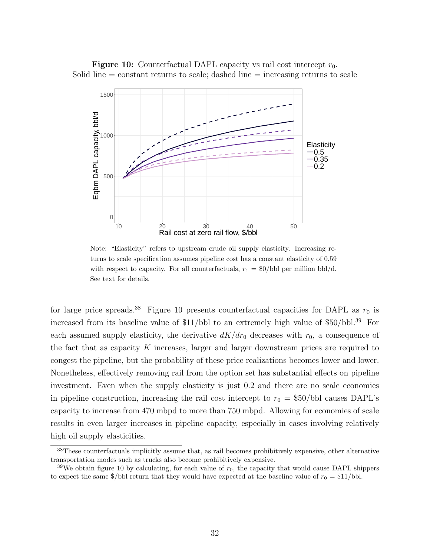**Figure 10:** Counterfactual DAPL capacity vs rail cost intercept  $r_0$ . Solid line  $=$  constant returns to scale; dashed line  $=$  increasing returns to scale



Note: "Elasticity" refers to upstream crude oil supply elasticity. Increasing returns to scale specification assumes pipeline cost has a constant elasticity of 0.59 with respect to capacity. For all counterfactuals,  $r_1 = \frac{60}{b}$  per million bbl/d. See text for details.

for large price spreads.<sup>38</sup> Figure 10 presents counterfactual capacities for DAPL as  $r_0$  is increased from its baseline value of  $$11/bbl$  to an extremely high value of  $$50/bbl.<sup>39</sup>$  For each assumed supply elasticity, the derivative  $dK/dr_0$  decreases with  $r_0$ , a consequence of the fact that as capacity K increases, larger and larger downstream prices are required to congest the pipeline, but the probability of these price realizations becomes lower and lower. Nonetheless, effectively removing rail from the option set has substantial effects on pipeline investment. Even when the supply elasticity is just 0.2 and there are no scale economies in pipeline construction, increasing the rail cost intercept to  $r_0 = $50/b$ bl causes DAPL's capacity to increase from 470 mbpd to more than 750 mbpd. Allowing for economies of scale results in even larger increases in pipeline capacity, especially in cases involving relatively high oil supply elasticities.

<sup>38</sup>These counterfactuals implicitly assume that, as rail becomes prohibitively expensive, other alternative transportation modes such as trucks also become prohibitively expensive.

<sup>&</sup>lt;sup>39</sup>We obtain figure 10 by calculating, for each value of  $r_0$ , the capacity that would cause DAPL shippers to expect the same  $\frac{1}{2}$ bbl return that they would have expected at the baseline value of  $r_0 = \frac{11}{16}$ bbl.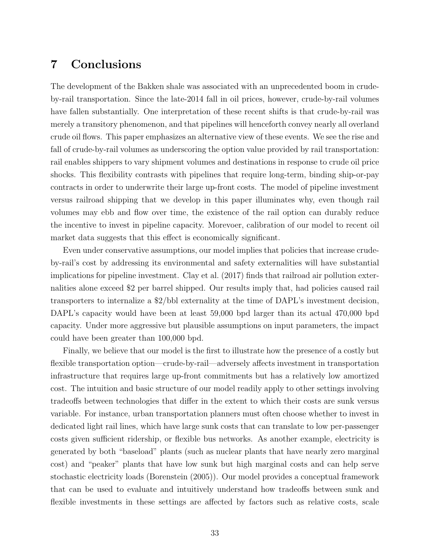## 7 Conclusions

The development of the Bakken shale was associated with an unprecedented boom in crudeby-rail transportation. Since the late-2014 fall in oil prices, however, crude-by-rail volumes have fallen substantially. One interpretation of these recent shifts is that crude-by-rail was merely a transitory phenomenon, and that pipelines will henceforth convey nearly all overland crude oil flows. This paper emphasizes an alternative view of these events. We see the rise and fall of crude-by-rail volumes as underscoring the option value provided by rail transportation: rail enables shippers to vary shipment volumes and destinations in response to crude oil price shocks. This flexibility contrasts with pipelines that require long-term, binding ship-or-pay contracts in order to underwrite their large up-front costs. The model of pipeline investment versus railroad shipping that we develop in this paper illuminates why, even though rail volumes may ebb and flow over time, the existence of the rail option can durably reduce the incentive to invest in pipeline capacity. Morevoer, calibration of our model to recent oil market data suggests that this effect is economically significant.

Even under conservative assumptions, our model implies that policies that increase crudeby-rail's cost by addressing its environmental and safety externalities will have substantial implications for pipeline investment. Clay et al. (2017) finds that railroad air pollution externalities alone exceed \$2 per barrel shipped. Our results imply that, had policies caused rail transporters to internalize a \$2/bbl externality at the time of DAPL's investment decision, DAPL's capacity would have been at least 59,000 bpd larger than its actual 470,000 bpd capacity. Under more aggressive but plausible assumptions on input parameters, the impact could have been greater than 100,000 bpd.

Finally, we believe that our model is the first to illustrate how the presence of a costly but flexible transportation option—crude-by-rail—adversely affects investment in transportation infrastructure that requires large up-front commitments but has a relatively low amortized cost. The intuition and basic structure of our model readily apply to other settings involving tradeoffs between technologies that differ in the extent to which their costs are sunk versus variable. For instance, urban transportation planners must often choose whether to invest in dedicated light rail lines, which have large sunk costs that can translate to low per-passenger costs given sufficient ridership, or flexible bus networks. As another example, electricity is generated by both "baseload" plants (such as nuclear plants that have nearly zero marginal cost) and "peaker" plants that have low sunk but high marginal costs and can help serve stochastic electricity loads (Borenstein (2005)). Our model provides a conceptual framework that can be used to evaluate and intuitively understand how tradeoffs between sunk and flexible investments in these settings are affected by factors such as relative costs, scale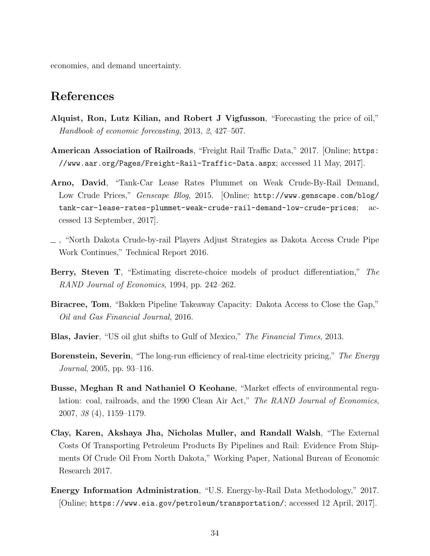economies, and demand uncertainty.

## References

- Alquist, Ron, Lutz Kilian, and Robert J Vigfusson, "Forecasting the price of oil," Handbook of economic forecasting, 2013, 2, 427–507.
- American Association of Railroads, "Freight Rail Traffic Data," 2017. [Online; https: //www.aar.org/Pages/Freight-Rail-Traffic-Data.aspx; accessed 11 May, 2017].
- Arno, David, "Tank-Car Lease Rates Plummet on Weak Crude-By-Rail Demand, Low Crude Prices," Genscape Blog, 2015. [Online; http://www.genscape.com/blog/ tank-car-lease-rates-plummet-weak-crude-rail-demand-low-crude-prices; accessed 13 September, 2017].
- , "North Dakota Crude-by-rail Players Adjust Strategies as Dakota Access Crude Pipe Work Continues," Technical Report 2016.
- Berry, Steven T, "Estimating discrete-choice models of product differentiation," The RAND Journal of Economics, 1994, pp. 242–262.
- Biracree, Tom, "Bakken Pipeline Takeaway Capacity: Dakota Access to Close the Gap," Oil and Gas Financial Journal, 2016.
- Blas, Javier, "US oil glut shifts to Gulf of Mexico," The Financial Times, 2013.
- Borenstein, Severin, "The long-run efficiency of real-time electricity pricing," The Energy Journal, 2005, pp. 93–116.
- Busse, Meghan R and Nathaniel O Keohane, "Market effects of environmental regulation: coal, railroads, and the 1990 Clean Air Act," The RAND Journal of Economics, 2007, 38 (4), 1159–1179.
- Clay, Karen, Akshaya Jha, Nicholas Muller, and Randall Walsh, "The External Costs Of Transporting Petroleum Products By Pipelines and Rail: Evidence From Shipments Of Crude Oil From North Dakota," Working Paper, National Bureau of Economic Research 2017.
- Energy Information Administration, "U.S. Energy-by-Rail Data Methodology," 2017. [Online; https://www.eia.gov/petroleum/transportation/; accessed 12 April, 2017].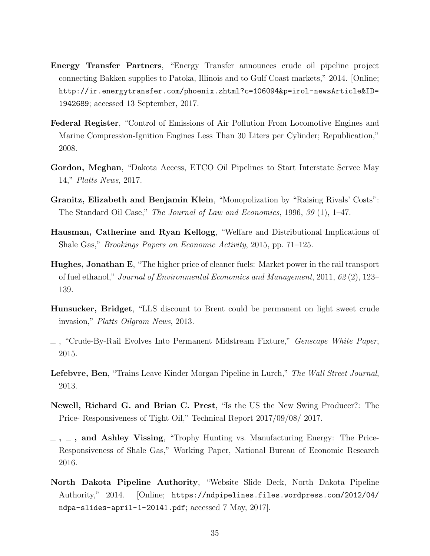- Energy Transfer Partners, "Energy Transfer announces crude oil pipeline project connecting Bakken supplies to Patoka, Illinois and to Gulf Coast markets," 2014. [Online; http://ir.energytransfer.com/phoenix.zhtml?c=106094&p=irol-newsArticle&ID= 1942689; accessed 13 September, 2017.
- Federal Register, "Control of Emissions of Air Pollution From Locomotive Engines and Marine Compression-Ignition Engines Less Than 30 Liters per Cylinder; Republication," 2008.
- Gordon, Meghan, "Dakota Access, ETCO Oil Pipelines to Start Interstate Servce May 14," Platts News, 2017.
- Granitz, Elizabeth and Benjamin Klein, "Monopolization by "Raising Rivals' Costs": The Standard Oil Case," The Journal of Law and Economics, 1996, 39 (1), 1–47.
- Hausman, Catherine and Ryan Kellogg, "Welfare and Distributional Implications of Shale Gas," Brookings Papers on Economic Activity, 2015, pp. 71–125.
- Hughes, Jonathan E, "The higher price of cleaner fuels: Market power in the rail transport of fuel ethanol," Journal of Environmental Economics and Management, 2011, 62 (2), 123– 139.
- Hunsucker, Bridget, "LLS discount to Brent could be permanent on light sweet crude invasion," Platts Oilgram News, 2013.
- , "Crude-By-Rail Evolves Into Permanent Midstream Fixture," Genscape White Paper, 2015.
- Lefebvre, Ben, "Trains Leave Kinder Morgan Pipeline in Lurch," The Wall Street Journal, 2013.
- Newell, Richard G. and Brian C. Prest, "Is the US the New Swing Producer?: The Price- Responsiveness of Tight Oil," Technical Report 2017/09/08/ 2017.
- $-$ ,  $-$ , and Ashley Vissing, "Trophy Hunting vs. Manufacturing Energy: The Price-Responsiveness of Shale Gas," Working Paper, National Bureau of Economic Research 2016.
- North Dakota Pipeline Authority, "Website Slide Deck, North Dakota Pipeline Authority," 2014. [Online; https://ndpipelines.files.wordpress.com/2012/04/ ndpa-slides-april-1-20141.pdf; accessed 7 May, 2017].